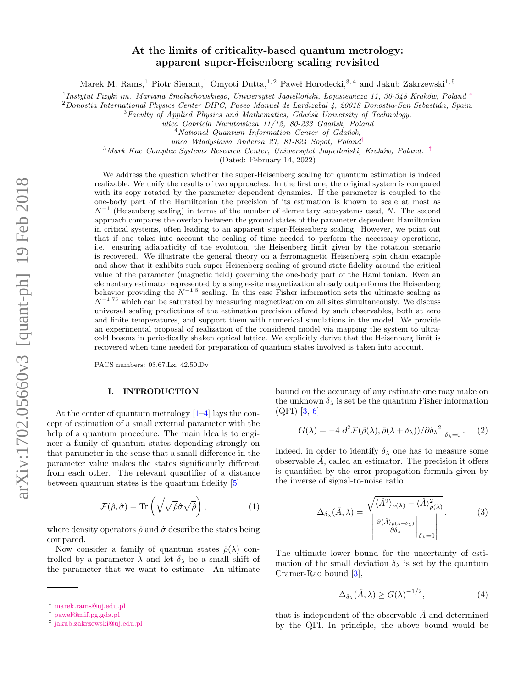# At the limits of criticality-based quantum metrology: apparent super-Heisenberg scaling revisited

Marek M. Rams,<sup>1</sup> Piotr Sierant,<sup>1</sup> Omyoti Dutta,<sup>1,2</sup> Paweł Horodecki,<sup>3,4</sup> and Jakub Zakrzewski<sup>1,5</sup>

<sup>1</sup> Instytut Fizyki im. Mariana Smoluchowskiego, Uniwersytet Jagielloński, Lojasiewicza 11, 30-348 Kraków, Poland \*

 $2$ Donostia International Physics Center DIPC, Paseo Manuel de Lardizabal 4, 20018 Donostia-San Sebastián, Spain.

 ${}^{3}$ Faculty of Applied Physics and Mathematics, Gdańsk University of Technology,

ulica Gabriela Narutowicza 11/12, 80-233 Gdańsk, Poland

 $4$ National Quantum Information Center of Gdańsk,

ulica Władysława Andersa 27, 81-824 Sopot, Poland<sup>[†](#page-0-1)</sup>

 $5$ Mark Kac Complex Systems Research Center, Uniwersytet Jagielloński, Kraków, Poland.  $\frac{1}{k}$ 

(Dated: February 14, 2022)

We address the question whether the super-Heisenberg scaling for quantum estimation is indeed realizable. We unify the results of two approaches. In the first one, the original system is compared with its copy rotated by the parameter dependent dynamics. If the parameter is coupled to the one-body part of the Hamiltonian the precision of its estimation is known to scale at most as  $N^{-1}$  (Heisenberg scaling) in terms of the number of elementary subsystems used, N. The second approach compares the overlap between the ground states of the parameter dependent Hamiltonian in critical systems, often leading to an apparent super-Heisenberg scaling. However, we point out that if one takes into account the scaling of time needed to perform the necessary operations, i.e. ensuring adiabaticity of the evolution, the Heisenberg limit given by the rotation scenario is recovered. We illustrate the general theory on a ferromagnetic Heisenberg spin chain example and show that it exhibits such super-Heisenberg scaling of ground state fidelity around the critical value of the parameter (magnetic field) governing the one-body part of the Hamiltonian. Even an elementary estimator represented by a single-site magnetization already outperforms the Heisenberg behavior providing the  $N^{-1.5}$  scaling. In this case Fisher information sets the ultimate scaling as  $N^{-1.75}$  which can be saturated by measuring magnetization on all sites simultaneously. We discuss universal scaling predictions of the estimation precision offered by such observables, both at zero and finite temperatures, and support them with numerical simulations in the model. We provide an experimental proposal of realization of the considered model via mapping the system to ultracold bosons in periodically shaken optical lattice. We explicitly derive that the Heisenberg limit is recovered when time needed for preparation of quantum states involved is taken into acocunt.

PACS numbers: 03.67.Lx, 42.50.Dv

### I. INTRODUCTION

At the center of quantum metrology [\[1](#page-12-0)[–4\]](#page-12-1) lays the concept of estimation of a small external parameter with the help of a quantum procedure. The main idea is to engineer a family of quantum states depending strongly on that parameter in the sense that a small difference in the parameter value makes the states significantly different from each other. The relevant quantifier of a distance between quantum states is the quantum fidelity [\[5\]](#page-12-2)

<span id="page-0-3"></span>
$$
\mathcal{F}(\hat{\rho}, \hat{\sigma}) = \text{Tr}\left(\sqrt{\sqrt{\hat{\rho}}\hat{\sigma}\sqrt{\hat{\rho}}}\right),\tag{1}
$$

where density operators  $\hat{\rho}$  and  $\hat{\sigma}$  describe the states being compared.

Now consider a family of quantum states  $\hat{\rho}(\lambda)$  controlled by a parameter  $\lambda$  and let  $\delta_{\lambda}$  be a small shift of the parameter that we want to estimate. An ultimate

bound on the accuracy of any estimate one may make on the unknown  $\delta_{\lambda}$  is set be the quantum Fisher information (QFI) [\[3,](#page-12-3) [6\]](#page-12-4)

<span id="page-0-5"></span>
$$
G(\lambda) = -4 \partial^2 \mathcal{F}(\hat{\rho}(\lambda), \hat{\rho}(\lambda + \delta_{\lambda})) / \partial \delta_{\lambda}{}^2 \big|_{\delta_{\lambda} = 0}.
$$
 (2)

Indeed, in order to identify  $\delta_{\lambda}$  one has to measure some observable  $\ddot{A}$ , called an estimator. The precision it offers is quantified by the error propagation formula given by the inverse of signal-to-noise ratio

<span id="page-0-4"></span>
$$
\Delta_{\delta_{\lambda}}(\hat{A}, \lambda) = \frac{\sqrt{\langle \hat{A}^2 \rangle_{\rho(\lambda)} - \langle \hat{A} \rangle_{\rho(\lambda)}^2}}{\left| \frac{\partial \langle \hat{A} \rangle_{\rho(\lambda + \delta_{\lambda})}}{\partial \delta_{\lambda}} \right|_{\delta_{\lambda} = 0}}.
$$
(3)

The ultimate lower bound for the uncertainty of estimation of the small deviation  $\delta_{\lambda}$  is set by the quantum Cramer-Rao bound [\[3\]](#page-12-3),

$$
\Delta_{\delta_{\lambda}}(\hat{A}, \lambda) \ge G(\lambda)^{-1/2},\tag{4}
$$

that is independent of the observable  $\hat{A}$  and determined by the QFI. In principle, the above bound would be

<span id="page-0-0"></span><sup>∗</sup> [marek.rams@uj.edu.pl](mailto:marek.rams@uj.edu.pl)

<span id="page-0-1"></span><sup>†</sup> [pawel@mif.pg.gda.pl](mailto:pawel@mif.pg.gda.pl)

<span id="page-0-2"></span><sup>‡</sup> [jakub.zakrzewski@uj.edu.pl](mailto:jakub.zakrzewski@uj.edu.pl)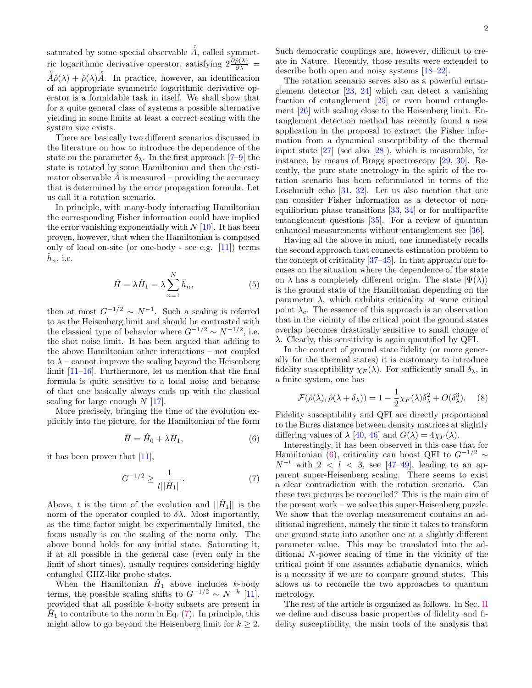saturated by some special observable  $\hat{\tilde{A}}$ , called symmetric logarithmic derivative operator, satisfying  $2\frac{\partial \hat{\rho}(\lambda)}{\partial \lambda}$  =  $\hat{A}\hat{\rho}(\lambda) + \hat{\rho}(\lambda)\hat{A}$ . In practice, however, an identification of an appropriate symmetric logarithmic derivative operator is a formidable task in itself. We shall show that for a quite general class of systems a possible alternative yielding in some limits at least a correct scaling with the system size exists.

There are basically two different scenarios discussed in the literature on how to introduce the dependence of the state on the parameter  $\delta_{\lambda}$ . In the first approach [\[7–](#page-12-5)[9\]](#page-12-6) the state is rotated by some Hamiltonian and then the estimator observable  $\tilde{A}$  is measured – providing the accuracy that is determined by the error propagation formula. Let us call it a rotation scenario.

In principle, with many-body interacting Hamiltonian the corresponding Fisher information could have implied the error vanishing exponentially with  $N$  [\[10\]](#page-12-7). It has been proven, however, that when the Hamiltonian is composed only of local on-site (or one-body - see e.g. [\[11\]](#page-12-8)) terms  $\hat{h}_n$ , i.e.

<span id="page-1-3"></span>
$$
\hat{H} = \lambda \hat{H}_1 = \lambda \sum_{n=1}^{N} \hat{h}_n,
$$
\n(5)

then at most  $G^{-1/2} \sim N^{-1}$ . Such a scaling is referred to as the Heisenberg limit and should be contrasted with the classical type of behavior where  $G^{-1/2} \sim N^{-1/2}$ , i.e. the shot noise limit. It has been argued that adding to the above Hamiltonian other interactions – not coupled to  $\lambda$  – cannot improve the scaling beyond the Heisenberg limit [\[11–](#page-12-8)[16\]](#page-12-9). Furthermore, let us mention that the final formula is quite sensitive to a local noise and because of that one basically always ends up with the classical scaling for large enough  $N$  [\[17\]](#page-12-10).

More precisely, bringing the time of the evolution explicitly into the picture, for the Hamiltonian of the form

<span id="page-1-1"></span>
$$
\hat{H} = \hat{H}_0 + \lambda \hat{H}_1,\tag{6}
$$

it has been proven that [\[11\]](#page-12-8),

<span id="page-1-0"></span>
$$
G^{-1/2} \ge \frac{1}{t||\hat{H}_1||}.\tag{7}
$$

Above, t is the time of the evolution and  $\|\hat{H}_1\|$  is the norm of the operator coupled to  $\delta \lambda$ . Most importantly, as the time factor might be experimentally limited, the focus usually is on the scaling of the norm only. The above bound holds for any initial state. Saturating it, if at all possible in the general case (even only in the limit of short times), usually requires considering highly entangled GHZ-like probe states.

When the Hamiltonian  $\hat{H}_1$  above includes k-body terms, the possible scaling shifts to  $G^{-1/2} \sim N^{-k}$  [\[11\]](#page-12-8), provided that all possible k-body subsets are present in  $\hat{H}_1$  to contribute to the norm in Eq. [\(7\)](#page-1-0). In principle, this might allow to go beyond the Heisenberg limit for  $k \geq 2$ . Such democratic couplings are, however, difficult to create in Nature. Recently, those results were extended to describe both open and noisy systems [\[18–](#page-12-11)[22\]](#page-12-12).

The rotation scenario serves also as a powerful entanglement detector [\[23,](#page-12-13) [24\]](#page-12-14) which can detect a vanishing fraction of entanglement [\[25\]](#page-12-15) or even bound entanglement [\[26\]](#page-12-16) with scaling close to the Heisenberg limit. Entanglement detection method has recently found a new application in the proposal to extract the Fisher information from a dynamical susceptibility of the thermal input state [\[27\]](#page-12-17) (see also [\[28\]](#page-12-18)), which is measurable, for instance, by means of Bragg spectroscopy [\[29,](#page-12-19) [30\]](#page-12-20). Recently, the pure state metrology in the spirit of the rotation scenario has been reformulated in terms of the Loschmidt echo  $[31, 32]$  $[31, 32]$ . Let us also mention that one can consider Fisher information as a detector of nonequilibrium phase transitions [\[33,](#page-12-23) [34\]](#page-12-24) or for multipartite entanglement questions [\[35\]](#page-12-25). For a review of quantum enhanced measurements without entanglement see [\[36\]](#page-12-26).

Having all the above in mind, one immediately recalls the second approach that connects estimation problem to the concept of criticality [\[37](#page-12-27)[–45\]](#page-13-0). In that approach one focuses on the situation where the dependence of the state on  $\lambda$  has a completely different origin. The state  $|\Psi(\lambda)\rangle$ is the ground state of the Hamiltonian depending on the parameter  $\lambda$ , which exhibits criticality at some critical point  $\lambda_c$ . The essence of this approach is an observation that in the vicinity of the critical point the ground states overlap becomes drastically sensitive to small change of  $\lambda$ . Clearly, this sensitivity is again quantified by QFI.

In the context of ground state fidelity (or more generally for the thermal states) it is customary to introduce fidelity susceptibility  $\chi_F(\lambda)$ . For sufficiently small  $\delta_{\lambda}$ , in a finite system, one has

<span id="page-1-2"></span>
$$
\mathcal{F}(\hat{\rho}(\lambda), \hat{\rho}(\lambda + \delta_{\lambda})) = 1 - \frac{1}{2}\chi_F(\lambda)\delta_{\lambda}^2 + O(\delta_{\lambda}^3). \tag{8}
$$

Fidelity susceptibility and QFI are directly proportional to the Bures distance between density matrices at slightly differing values of  $\lambda$  [\[40,](#page-13-1) [46\]](#page-13-2) and  $G(\lambda) = 4\chi_F(\lambda)$ .

Interestingly, it has been observed in this case that for Hamiltonian [\(6\)](#page-1-1), criticality can boost QFI to  $G^{-1/2} \sim$  $N^{-l}$  with  $2 < l < 3$ , see [\[47](#page-13-3)[–49\]](#page-13-4), leading to an apparent super-Heisenberg scaling. There seems to exist a clear contradiction with the rotation scenario. Can these two pictures be reconciled? This is the main aim of the present work – we solve this super-Heisenberg puzzle. We show that the overlap measurement contains an additional ingredient, namely the time it takes to transform one ground state into another one at a slightly different parameter value. This may be translated into the additional N-power scaling of time in the vicinity of the critical point if one assumes adiabatic dynamics, which is a necessity if we are to compare ground states. This allows us to reconcile the two approaches to quantum metrology.

The rest of the article is organized as follows. In Sec. [II](#page-2-0) we define and discuss basic properties of fidelity and fidelity susceptibility, the main tools of the analysis that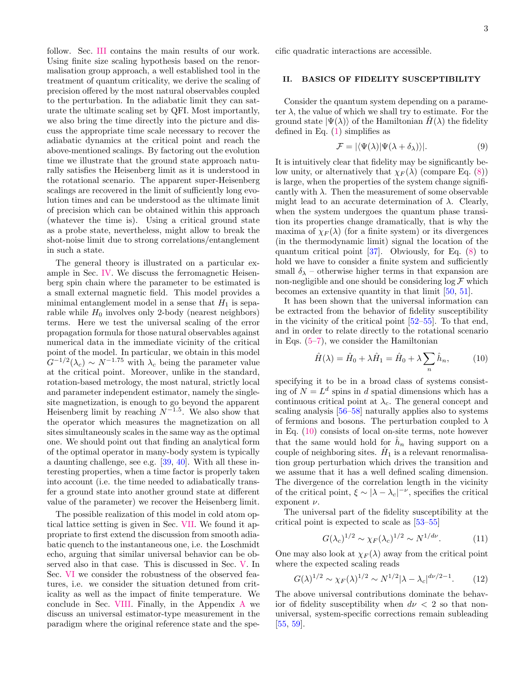follow. Sec. [III](#page-3-0) contains the main results of our work. Using finite size scaling hypothesis based on the renormalisation group approach, a well established tool in the treatment of quantum criticality, we derive the scaling of precision offered by the most natural observables coupled to the perturbation. In the adiabatic limit they can saturate the ultimate scaling set by QFI. Most importantly, we also bring the time directly into the picture and discuss the appropriate time scale necessary to recover the adiabatic dynamics at the critical point and reach the above-mentioned scalings. By factoring out the evolution time we illustrate that the ground state approach naturally satisfies the Heisenberg limit as it is understood in the rotational scenario. The apparent super-Heisenberg scalings are recovered in the limit of sufficiently long evolution times and can be understood as the ultimate limit of precision which can be obtained within this approach (whatever the time is). Using a critical ground state as a probe state, nevertheless, might allow to break the shot-noise limit due to strong correlations/entanglement in such a state.

The general theory is illustrated on a particular example in Sec. [IV.](#page-5-0) We discuss the ferromagnetic Heisenberg spin chain where the parameter to be estimated is a small external magnetic field. This model provides a minimal entanglement model in a sense that  $H_1$  is separable while  $H_0$  involves only 2-body (nearest neighbors) terms. Here we test the universal scaling of the error propagation formula for those natural observables against numerical data in the immediate vicinity of the critical point of the model. In particular, we obtain in this model  $G^{-1/2}(\lambda_c) \sim N^{-1.75}$  with  $\lambda_c$  being the parameter value at the critical point. Moreover, unlike in the standard, rotation-based metrology, the most natural, strictly local and parameter independent estimator, namely the singlesite magnetization, is enough to go beyond the apparent Heisenberg limit by reaching  $N^{-1.5}$ . We also show that the operator which measures the magnetization on all sites simultaneously scales in the same way as the optimal one. We should point out that finding an analytical form of the optimal operator in many-body system is typically a daunting challenge, see e.g. [\[39,](#page-12-28) [40\]](#page-13-1). With all these interesting properties, when a time factor is properly taken into account (i.e. the time needed to adiabatically transfer a ground state into another ground state at different value of the parameter) we recover the Heisenberg limit.

The possible realization of this model in cold atom optical lattice setting is given in Sec. [VII.](#page-9-0) We found it appropriate to first extend the discussion from smooth adiabatic quench to the instantaneous one, i.e. the Loschmidt echo, arguing that similar universal behavior can be observed also in that case. This is discussed in Sec. [V.](#page-7-0) In Sec. [VI](#page-7-1) we consider the robustness of the observed features, i.e. we consider the situation detuned from criticality as well as the impact of finite temperature. We conclude in Sec. [VIII.](#page-10-0) Finally, in the Appendix [A](#page-11-0) we discuss an universal estimator-type measurement in the paradigm where the original reference state and the specific quadratic interactions are accessible.

### <span id="page-2-0"></span>II. BASICS OF FIDELITY SUSCEPTIBILITY

Consider the quantum system depending on a parameter  $\lambda$ , the value of which we shall try to estimate. For the ground state  $|\Psi(\lambda)\rangle$  of the Hamiltonian  $H(\lambda)$  the fidelity defined in Eq.  $(1)$  simplifies as

<span id="page-2-4"></span>
$$
\mathcal{F} = |\langle \Psi(\lambda) | \Psi(\lambda + \delta_{\lambda}) \rangle|.
$$
 (9)

It is intuitively clear that fidelity may be significantly below unity, or alternatively that  $\chi_F(\lambda)$  (compare Eq. [\(8\)](#page-1-2)) is large, when the properties of the system change significantly with  $\lambda$ . Then the measurement of some observable might lead to an accurate determination of  $\lambda$ . Clearly, when the system undergoes the quantum phase transition its properties change dramatically, that is why the maxima of  $\chi_F(\lambda)$  (for a finite system) or its divergences (in the thermodynamic limit) signal the location of the quantum critical point [\[37\]](#page-12-27). Obviously, for Eq. [\(8\)](#page-1-2) to hold we have to consider a finite system and sufficiently small  $\delta_{\lambda}$  – otherwise higher terms in that expansion are non-negligible and one should be considering  $\log \mathcal{F}$  which becomes an extensive quantity in that limit [\[50,](#page-13-5) [51\]](#page-13-6).

It has been shown that the universal information can be extracted from the behavior of fidelity susceptibility in the vicinity of the critical point [\[52](#page-13-7)[–55\]](#page-13-8). To that end, and in order to relate directly to the rotational scenario in Eqs.  $(5-7)$  $(5-7)$ , we consider the Hamiltonian

<span id="page-2-1"></span>
$$
\hat{H}(\lambda) = \hat{H}_0 + \lambda \hat{H}_1 = \hat{H}_0 + \lambda \sum_n \hat{h}_n, \tag{10}
$$

specifying it to be in a broad class of systems consisting of  $N = L<sup>d</sup>$  spins in d spatial dimensions which has a continuous critical point at  $\lambda_c$ . The general concept and scaling analysis [\[56–](#page-13-9)[58\]](#page-13-10) naturally applies also to systems of fermions and bosons. The perturbation coupled to  $\lambda$ in Eq. [\(10\)](#page-2-1) consists of local on-site terms, note however that the same would hold for  $\hat{h}_n$  having support on a couple of neighboring sites.  $\hat{H}_1$  is a relevant renormalisation group perturbation which drives the transition and we assume that it has a well defined scaling dimension. The divergence of the correlation length in the vicinity of the critical point,  $\xi \sim |\lambda - \lambda_c|^{-\nu}$ , specifies the critical exponent  $\nu$ .

The universal part of the fidelity susceptibility at the critical point is expected to scale as [\[53–](#page-13-11)[55\]](#page-13-8)

<span id="page-2-2"></span>
$$
G(\lambda_c)^{1/2} \sim \chi_F(\lambda_c)^{1/2} \sim N^{1/d\nu}.\tag{11}
$$

One may also look at  $\chi_F(\lambda)$  away from the critical point where the expected scaling reads

<span id="page-2-3"></span>
$$
G(\lambda)^{1/2} \sim \chi_F(\lambda)^{1/2} \sim N^{1/2} |\lambda - \lambda_c|^{d\nu/2 - 1}.
$$
 (12)

The above universal contributions dominate the behavior of fidelity susceptibility when  $d\nu < 2$  so that nonuniversal, system-specific corrections remain subleading [\[55,](#page-13-8) [59\]](#page-13-12).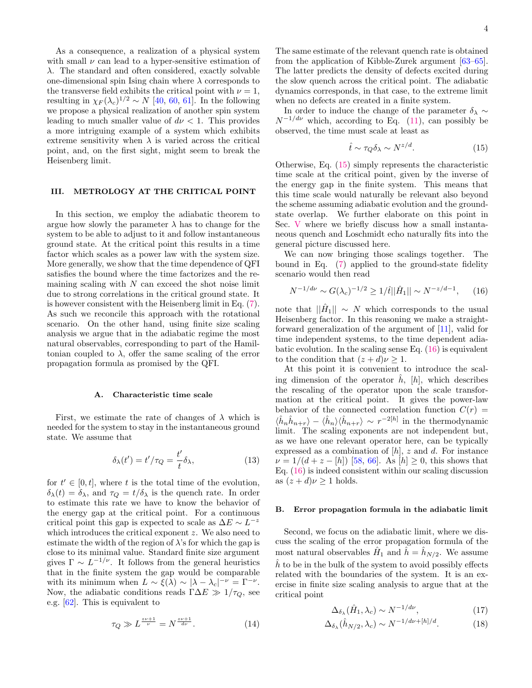As a consequence, a realization of a physical system with small  $\nu$  can lead to a hyper-sensitive estimation of  $\lambda$ . The standard and often considered, exactly solvable one-dimensional spin Ising chain where  $\lambda$  corresponds to the transverse field exhibits the critical point with  $\nu = 1$ , resulting in  $\chi_F(\lambda_c)^{1/2} \sim N$  [\[40,](#page-13-1) [60,](#page-13-13) [61\]](#page-13-14). In the following we propose a physical realization of another spin system leading to much smaller value of  $d\nu < 1$ . This provides a more intriguing example of a system which exhibits extreme sensitivity when  $\lambda$  is varied across the critical point, and, on the first sight, might seem to break the Heisenberg limit.

# <span id="page-3-0"></span>III. METROLOGY AT THE CRITICAL POINT

In this section, we employ the adiabatic theorem to argue how slowly the parameter  $\lambda$  has to change for the system to be able to adjust to it and follow instantaneous ground state. At the critical point this results in a time factor which scales as a power law with the system size. More generally, we show that the time dependence of QFI satisfies the bound where the time factorizes and the remaining scaling with  $N$  can exceed the shot noise limit due to strong correlations in the critical ground state. It is however consistent with the Heisenberg limit in Eq. [\(7\)](#page-1-0). As such we reconcile this approach with the rotational scenario. On the other hand, using finite size scaling analysis we argue that in the adiabatic regime the most natural observables, corresponding to part of the Hamiltonian coupled to  $\lambda$ , offer the same scaling of the error propagation formula as promised by the QFI.

#### A. Characteristic time scale

First, we estimate the rate of changes of  $\lambda$  which is needed for the system to stay in the instantaneous ground state. We assume that

<span id="page-3-4"></span>
$$
\delta_{\lambda}(t') = t'/\tau_Q = \frac{t'}{t} \delta_{\lambda},\tag{13}
$$

for  $t' \in [0, t]$ , where t is the total time of the evolution,  $\delta_{\lambda}(t) = \delta_{\lambda}$ , and  $\tau_{Q} = t/\delta_{\lambda}$  is the quench rate. In order to estimate this rate we have to know the behavior of the energy gap at the critical point. For a continuous critical point this gap is expected to scale as  $\Delta E \sim L^{-z}$ which introduces the critical exponent z. We also need to estimate the width of the region of  $\lambda$ 's for which the gap is close to its minimal value. Standard finite size argument gives  $\Gamma \sim L^{-1/\nu}$ . It follows from the general heuristics that in the finite system the gap would be comparable with its minimum when  $L \sim \xi(\lambda) \sim |\lambda - \lambda_c|^{-\nu} = \Gamma^{-\nu}$ . Now, the adiabatic conditions reads  $\Gamma \Delta E \gg 1/\tau_Q$ , see e.g. [\[62\]](#page-13-15). This is equivalent to

$$
\tau_Q \gg L^{\frac{z\nu+1}{\nu}} = N^{\frac{z\nu+1}{d\nu}}.\tag{14}
$$

The same estimate of the relevant quench rate is obtained from the application of Kibble-Zurek argument [\[63–](#page-13-16)[65\]](#page-13-17). The latter predicts the density of defects excited during the slow quench across the critical point. The adiabatic dynamics corresponds, in that case, to the extreme limit when no defects are created in a finite system.

In order to induce the change of the parameter  $\delta_{\lambda} \sim$  $N^{-1/d\nu}$  which, according to Eq. [\(11\)](#page-2-2), can possibly be observed, the time must scale at least as

<span id="page-3-1"></span>
$$
\hat{t} \sim \tau_Q \delta_\lambda \sim N^{z/d}.\tag{15}
$$

Otherwise, Eq. [\(15\)](#page-3-1) simply represents the characteristic time scale at the critical point, given by the inverse of the energy gap in the finite system. This means that this time scale would naturally be relevant also beyond the scheme assuming adiabatic evolution and the groundstate overlap. We further elaborate on this point in Sec. [V](#page-7-0) where we briefly discuss how a small instantaneous quench and Loschmidt echo naturally fits into the general picture discussed here.

We can now bringing those scalings together. The bound in Eq. [\(7\)](#page-1-0) applied to the ground-state fidelity scenario would then read

<span id="page-3-2"></span>
$$
N^{-1/d\nu} \sim G(\lambda_c)^{-1/2} \ge 1/\hat{t} ||\hat{H}_1|| \sim N^{-z/d - 1}, \qquad (16)
$$

note that  $\|\hat{H}_1\| \sim N$  which corresponds to the usual Heisenberg factor. In this reasoning we make a straightforward generalization of the argument of [\[11\]](#page-12-8), valid for time independent systems, to the time dependent adiabatic evolution. In the scaling sense Eq.  $(16)$  is equivalent to the condition that  $(z+d)\nu \geq 1$ .

At this point it is convenient to introduce the scaling dimension of the operator  $\hat{h}$ ,  $[h]$ , which describes the rescaling of the operator upon the scale transformation at the critical point. It gives the power-law behavior of the connected correlation function  $C(r)$  $\langle \hat{h}_n \hat{h}_{n+r} \rangle - \langle \hat{h}_n \rangle \langle \hat{h}_{n+r} \rangle \sim r^{-2[h]}$  in the thermodynamic limit. The scaling exponents are not independent but, as we have one relevant operator here, can be typically expressed as a combination of  $[h]$ , z and d. For instance  $\nu = 1/(d + z - [h])$  [\[58,](#page-13-10) [66\]](#page-13-18). As  $[h] \geq 0$ , this shows that Eq. [\(16\)](#page-3-2) is indeed consistent within our scaling discussion as  $(z+d)\nu \geq 1$  holds.

### B. Error propagation formula in the adiabatic limit

Second, we focus on the adiabatic limit, where we discuss the scaling of the error propagation formula of the most natural observables  $\hat{H}_1$  and  $\hat{h} = \hat{h}_{N/2}$ . We assume  $\hat{h}$  to be in the bulk of the system to avoid possibly effects related with the boundaries of the system. It is an exercise in finite size scaling analysis to argue that at the critical point

<span id="page-3-3"></span>
$$
\Delta_{\delta_{\lambda}}(\hat{H}_1, \lambda_c) \sim N^{-1/d\nu},\tag{17}
$$

$$
\Delta_{\delta_{\lambda}}(\hat{h}_{N/2}, \lambda_c) \sim N^{-1/d\nu + [h]/d}.\tag{18}
$$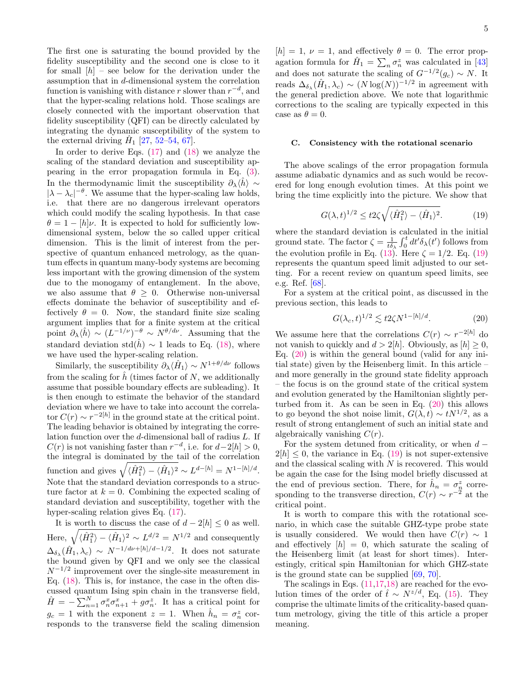The first one is saturating the bound provided by the fidelity susceptibility and the second one is close to it for small  $[h]$  – see below for the derivation under the assumption that in d-dimensional system the correlation function is vanishing with distance r slower than  $r^{-d}$ , and that the hyper-scaling relations hold. Those scalings are closely connected with the important observation that fidelity susceptibility (QFI) can be directly calculated by integrating the dynamic susceptibility of the system to the external driving  $\hat{H}_1$  [\[27,](#page-12-17) [52–](#page-13-7)[54,](#page-13-19) [67\]](#page-13-20).

In order to derive Eqs. [\(17\)](#page-3-3) and [\(18\)](#page-3-3) we analyze the scaling of the standard deviation and susceptibility appearing in the error propagation formula in Eq. [\(3\)](#page-0-4). In the thermodynamic limit the susceptibility  $\partial_{\lambda}\langle \hat{h}\rangle \sim$  $|\lambda - \lambda_c|^{-\theta}$ . We assume that the hyper-scaling law holds, i.e. that there are no dangerous irrelevant operators which could modify the scaling hypothesis. In that case  $\theta = 1 - \frac{h}{v}$ . It is expected to hold for sufficiently lowdimensional system, below the so called upper critical dimension. This is the limit of interest from the perspective of quantum enhanced metrology, as the quantum effects in quantum many-body systems are becoming less important with the growing dimension of the system due to the monogamy of entanglement. In the above, we also assume that  $\theta \geq 0$ . Otherwise non-universal effects dominate the behavior of susceptibility and effectively  $\theta = 0$ . Now, the standard finite size scaling argument implies that for a finite system at the critical point  $\partial_{\lambda} \langle \hat{h} \rangle \sim (L^{-1/\nu})^{-\theta} \sim N^{\theta/d\nu}$ . Assuming that the standard deviation std $(\hat{h}) \sim 1$  leads to Eq. [\(18\)](#page-3-3), where we have used the hyper-scaling relation.

Similarly, the susceptibility  $\partial_{\lambda} \langle \hat{H}_1 \rangle \sim N^{1+\theta/d\nu}$  follows from the scaling for  $\hat{h}$  (times factor of N, we additionally assume that possible boundary effects are subleading). It is then enough to estimate the behavior of the standard deviation where we have to take into account the correlator  $C(r) \sim r^{-2[h]}$  in the ground state at the critical point. The leading behavior is obtained by integrating the correlation function over the d-dimensional ball of radius L. If  $C(r)$  is not vanishing faster than  $r^{-d}$ , i.e. for  $d-2[h] > 0$ , the integral is dominated by the tail of the correlation function and gives  $\sqrt{\langle \hat{H}_1^2 \rangle - \langle \hat{H}_1 \rangle^2} \sim L^{d-[h]} = N^{1-[h]/d}$ . Note that the standard deviation corresponds to a structure factor at  $k = 0$ . Combining the expected scaling of standard deviation and susceptibility, together with the hyper-scaling relation gives Eq. [\(17\)](#page-3-3).

It is worth to discuss the case of  $d - 2[h] \leq 0$  as well. Here,  $\sqrt{\langle \hat{H}_1^2 \rangle - \langle \hat{H}_1 \rangle^2} \sim L^{d/2} = N^{1/2}$  and consequently  $\Delta_{\delta_{\lambda}}(\hat{H}_1, \lambda_c) \sim N^{-1/d\nu + [h]/d-1/2}$ . It does not saturate the bound given by QFI and we only see the classical  $N^{-1/2}$  improvement over the single-site measurement in Eq. [\(18\)](#page-3-3). This is, for instance, the case in the often discussed quantum Ising spin chain in the transverse field,  $\hat{H} = -\sum_{n=1}^{N} \sigma_n^x \sigma_{n+1}^x + g \sigma_n^z$ . It has a critical point for  $g_c = 1$  with the exponent  $z = 1$ . When  $\hat{h}_n = \sigma_n^z$  corresponds to the transverse field the scaling dimension

 $[h] = 1, \nu = 1$ , and effectively  $\theta = 0$ . The error propagation formula for  $\hat{H}_1 = \sum_n \sigma_n^z$  was calculated in [\[43\]](#page-13-21) and does not saturate the scaling of  $G^{-1/2}(g_c) \sim N$ . It reads  $\Delta_{\delta_{\lambda}}(\hat{H}_1, \lambda_c) \sim (N \log(N))^{-1/2}$  in agreement with the general prediction above. We note that logarithmic corrections to the scaling are typically expected in this case as  $\theta = 0$ .

#### C. Consistency with the rotational scenario

The above scalings of the error propagation formula assume adiabatic dynamics and as such would be recovered for long enough evolution times. At this point we bring the time explicitly into the picture. We show that

<span id="page-4-0"></span>
$$
G(\lambda, t)^{1/2} \le t^2 \zeta \sqrt{\langle \hat{H}_1^2 \rangle - \langle \hat{H}_1 \rangle^2}.
$$
 (19)

where the standard deviation is calculated in the initial ground state. The factor  $\zeta = \frac{1}{t\delta\lambda} \int_0^t dt' \delta_{\lambda}(t')$  follows from the evolution profile in Eq. [\(13\)](#page-3-4). Here  $\zeta = 1/2$ . Eq. [\(19\)](#page-4-0) represents the quantum speed limit adjusted to our setting. For a recent review on quantum speed limits, see e.g. Ref. [\[68\]](#page-13-22).

For a system at the critical point, as discussed in the previous section, this leads to

<span id="page-4-1"></span>
$$
G(\lambda_c, t)^{1/2} \lesssim t 2\zeta N^{1-[h]/d}.\tag{20}
$$

We assume here that the correlations  $C(r) \sim r^{-2[h]}$  do not vanish to quickly and  $d > 2[h]$ . Obviously, as  $[h] \geq 0$ , Eq.  $(20)$  is within the general bound (valid for any initial state) given by the Heisenberg limit. In this article – and more generally in the ground state fidelity approach – the focus is on the ground state of the critical system and evolution generated by the Hamiltonian slightly perturbed from it. As can be seen in Eq.  $(20)$  this allows to go beyond the shot noise limit,  $G(\lambda, t) \sim tN^{1/2}$ , as a result of strong entanglement of such an initial state and algebraically vanishing  $C(r)$ .

For the system detuned from criticality, or when  $d 2[h] \leq 0$ , the variance in Eq. [\(19\)](#page-4-0) is not super-extensive and the classical scaling with  $N$  is recovered. This would be again the case for the Ising model briefly discussed at the end of previous section. There, for  $\hat{h}_n = \sigma_n^z$  corresponding to the transverse direction,  $C(r) \sim r^{-2}$  at the critical point.

It is worth to compare this with the rotational scenario, in which case the suitable GHZ-type probe state is usually considered. We would then have  $C(r) \sim 1$ and effectively  $[h] = 0$ , which saturate the scaling of the Heisenberg limit (at least for short times). Interestingly, critical spin Hamiltonian for which GHZ-state is the ground state can be supplied [\[69,](#page-13-23) [70\]](#page-13-24).

The scalings in Eqs. [\(11](#page-2-2)[,17,18\)](#page-3-3) are reached for the evolution times of the order of  $\hat{t} \sim N^{z/d}$ , Eq. [\(15\)](#page-3-1). They comprise the ultimate limits of the criticality-based quantum metrology, giving the title of this article a proper meaning.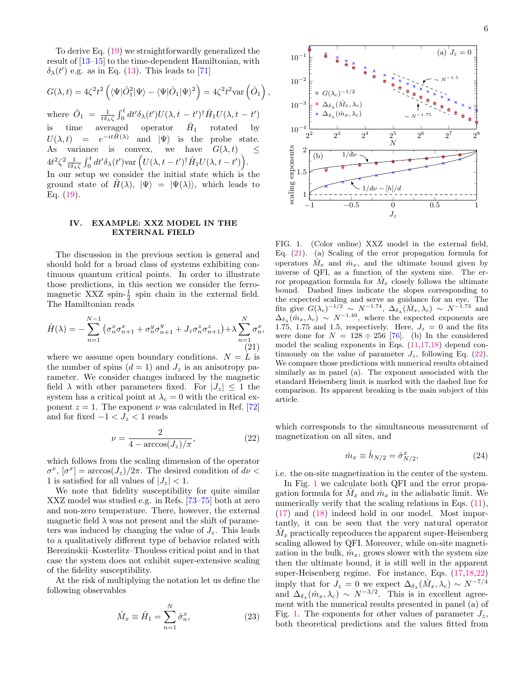To derive Eq. [\(19\)](#page-4-0) we straightforwardly generalized the result of [\[13–](#page-12-29)[15\]](#page-12-30) to the time-dependent Hamiltonian, with  $\delta_{\lambda}(t')$  e.g. as in Eq. [\(13\)](#page-3-4). This leads to [\[71\]](#page-13-25)

$$
G(\lambda, t) = 4\zeta^2 t^2 \left( \langle \Psi | \hat{O}_1^2 | \Psi \rangle - \langle \Psi | \hat{O}_1 | \Psi \rangle^2 \right) = 4\zeta^2 t^2 \text{var} \left( \hat{O}_1 \right)
$$

,

,

where  $\hat{O}_1 = \frac{1}{t \delta \lambda \zeta} \int_0^t dt' \delta_\lambda(t') U(\lambda, t - t')^\dagger \hat{H}_1 U(\lambda, t - t')$ is time averaged operator  $\hat{H}_1$ rotated by  $U(\lambda, t) = e^{-it\hat{H}(\lambda)}$  and  $|\Psi\rangle$  is the probe state. As variance is convex, we have  $G(\lambda, t) \leq$  $4t^2\zeta^2 \frac{1}{t\delta\lambda\zeta}\int_0^t dt' \delta_\lambda(t') \text{var}\left(U(\lambda, t - t')^\dagger \hat{H}_1 U(\lambda, t - t')\right).$ In our setup we consider the initial state which is the ground state of  $H(\lambda)$ ,  $|\Psi\rangle = |\Psi(\lambda)\rangle$ , which leads to Eq. [\(19\)](#page-4-0).

### <span id="page-5-0"></span>IV. EXAMPLE: XXZ MODEL IN THE EXTERNAL FIELD

The discussion in the previous section is general and should hold for a broad class of systems exhibiting continuous quantum critical points. In order to illustrate those predictions, in this section we consider the ferromagnetic XXZ spin- $\frac{1}{2}$  spin chain in the external field. The Hamiltonian reads

<span id="page-5-1"></span>
$$
\hat{H}(\lambda) = -\sum_{n=1}^{N-1} \left( \sigma_n^x \sigma_{n+1}^x + \sigma_n^y \sigma_{n+1}^y + J_z \sigma_n^z \sigma_{n+1}^z \right) + \lambda \sum_{n=1}^N \sigma_n^x
$$
\n(21)

where we assume open boundary conditions.  $N = L$  is the number of spins  $(d = 1)$  and  $J_z$  is an anisotropy parameter. We consider changes induced by the magnetic field  $\lambda$  with other parameters fixed. For  $|J_z| \leq 1$  the system has a critical point at  $\lambda_c = 0$  with the critical exponent  $z = 1$ . The exponent  $\nu$  was calculated in Ref. [\[72\]](#page-13-26) and for fixed  $-1 < J_z < 1$  reads

<span id="page-5-2"></span>
$$
\nu = \frac{2}{4 - \arccos(J_z)/\pi},\tag{22}
$$

which follows from the scaling dimension of the operator  $\sigma^x$ ,  $[\sigma^x] = \arccos(J_z)/2\pi$ . The desired condition of  $d\nu <$ 1 is satisfied for all values of  $|J_z|$  < 1.

We note that fidelity susceptibility for quite similar XXZ model was studied e.g. in Refs. [\[73–](#page-13-27)[75\]](#page-13-28) both at zero and non-zero temperature. There, however, the external magnetic field  $\lambda$  was not present and the shift of parameters was induced by changing the value of  $J_z$ . This leads to a qualitatively different type of behavior related with Berezinskii–Kosterlitz–Thouless critical point and in that case the system does not exhibit super-extensive scaling of the fidelity susceptibility.

At the risk of multiplying the notation let us define the following observables

$$
\hat{M}_x \equiv \hat{H}_1 = \sum_{n=1}^N \hat{\sigma}_n^x,\tag{23}
$$



<span id="page-5-3"></span>FIG. 1. (Color online) XXZ model in the external field, Eq. [\(21\)](#page-5-1). (a) Scaling of the error propagation formula for operators  $\hat{M}_x$  and  $\hat{m}_x$ , and the ultimate bound given by inverse of QFI, as a function of the system size. The error propagation formula for  $M_x$  closely follows the ultimate bound. Dashed lines indicate the slopes corresponding to the expected scaling and serve as guidance for an eye. The fits give  $G(\lambda_c)^{-1/2} \sim N^{-1.74}$ ,  $\Delta_{\delta_{\lambda}}(\hat{M}_x, \lambda_c) \sim N^{-1.73}$  and  $\Delta_{\delta_{\lambda}}(\hat{m}_x, \lambda_c) \sim N^{-1.49}$ , where the expected exponents are 1.75, 1.75 and 1.5, respectively. Here,  $J_z = 0$  and the fits were done for  $N = 128 \div 256$  [\[76\]](#page-13-29). (b) In the considered model the scaling exponents in Eqs. [\(11,](#page-2-2)[17,18\)](#page-3-3) depend continuously on the value of parameter  $J_z$ , following Eq. [\(22\)](#page-5-2). We compare those predictions with numerical results obtained similarly as in panel (a). The exponent associated with the standard Heisenberg limit is marked with the dashed line for comparison. Its apparent breaking is the main subject of this article.

which corresponds to the simultaneous measurement of magnetization on all sites, and

$$
\hat{m}_x \equiv \hat{h}_{N/2} = \hat{\sigma}_{N/2}^x,\tag{24}
$$

i.e. the on-site magnetization in the center of the system.

In Fig. [1](#page-5-3) we calculate both QFI and the error propagation formula for  $\hat{M}_x$  and  $\hat{m}_x$  in the adiabatic limit. We numerically verify that the scaling relations in Eqs.  $(11)$ , [\(17\)](#page-3-3) and [\(18\)](#page-3-3) indeed hold in our model. Most importantly, it can be seen that the very natural operator  $\hat{M}_x$  practically reproduces the apparent super-Heisenberg scaling allowed by QFI. Moreover, while on-site magnetization in the bulk,  $\hat{m}_x$ , grows slower with the system size then the ultimate bound, it is still well in the apparent super-Heisenberg regime. For instance, Eqs. [\(17,18](#page-3-3)[,22\)](#page-5-2) imply that for  $J_z = 0$  we expect  $\Delta_{\delta_{\lambda}}(\hat{M}_x, \lambda_c) \sim N^{-7/4}$ and  $\Delta_{\delta_{\lambda}}(\hat{m}_x, \lambda_c) \sim N^{-3/2}$ . This is in excellent agreement with the numerical results presented in panel (a) of Fig. [1.](#page-5-3) The exponents for other values of parameter  $J_z$ , both theoretical predictions and the values fitted from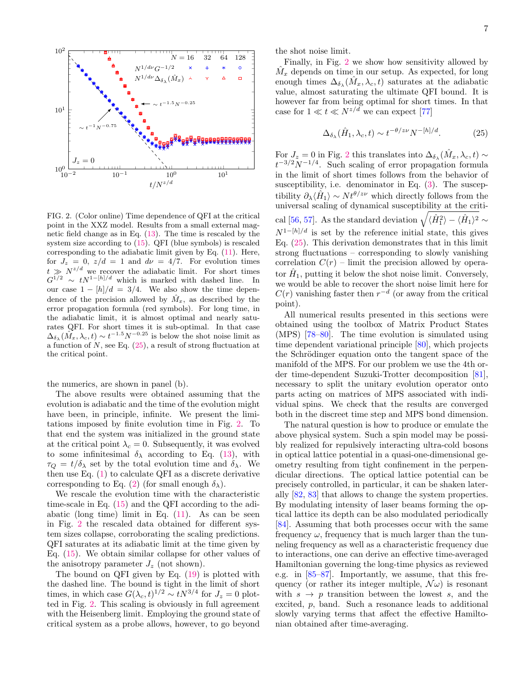

<span id="page-6-1"></span>FIG. 2. (Color online) Time dependence of QFI at the critical point in the XXZ model. Results from a small external magnetic field change as in Eq. [\(13\)](#page-3-4). The time is rescaled by the system size according to [\(15\)](#page-3-1). QFI (blue symbols) is rescaled corresponding to the adiabatic limit given by Eq. [\(11\)](#page-2-2). Here, for  $J_z = 0$ ,  $z/d = 1$  and  $d\nu = 4/7$ . For evolution times  $t \gg N^{z/d}$  we recover the adiabatic limit. For short times  $G^{1/2} \sim t N^{1-[h]/d}$  which is marked with dashed line. In our case  $1 - \frac{h}{d} = \frac{3}{4}$ . We also show the time dependence of the precision allowed by  $\hat{M}_x$ , as described by the error propagation formula (red symbols). For long time, in the adiabatic limit, it is almost optimal and nearly saturates QFI. For short times it is sub-optimal. In that case  $\Delta_{\delta_{\lambda}}(\hat{M}_x, \lambda_c, t) \sim t^{-1.5} N^{-0.25}$  is below the shot noise limit as a function of  $N$ , see Eq.  $(25)$ , a result of strong fluctuation at the critical point.

the numerics, are shown in panel (b).

The above results were obtained assuming that the evolution is adiabatic and the time of the evolution might have been, in principle, infinite. We present the limitations imposed by finite evolution time in Fig. [2.](#page-6-1) To that end the system was initialized in the ground state at the critical point  $\lambda_c = 0$ . Subsequently, it was evolved to some infinitesimal  $\delta_{\lambda}$  according to Eq. [\(13\)](#page-3-4), with  $\tau_Q = t/\delta_\lambda$  set by the total evolution time and  $\delta_\lambda$ . We then use Eq. [\(1\)](#page-0-3) to calculate QFI as a discrete derivative corresponding to Eq. [\(2\)](#page-0-5) (for small enough  $\delta_{\lambda}$ ).

We rescale the evolution time with the characteristic time-scale in Eq. [\(15\)](#page-3-1) and the QFI according to the adiabatic (long time) limit in Eq.  $(11)$ . As can be seen in Fig. [2](#page-6-1) the rescaled data obtained for different system sizes collapse, corroborating the scaling predictions. QFI saturates at its adiabatic limit at the time given by Eq. [\(15\)](#page-3-1). We obtain similar collapse for other values of the anisotropy parameter  $J_z$  (not shown).

The bound on QFI given by Eq. [\(19\)](#page-4-0) is plotted with the dashed line. The bound is tight in the limit of short times, in which case  $G(\lambda_c, t)^{1/2} \sim t N^{3/4}$  for  $J_z = 0$  plotted in Fig. [2.](#page-6-1) This scaling is obviously in full agreement with the Heisenberg limit. Employing the ground state of critical system as a probe allows, however, to go beyond the shot noise limit.

Finally, in Fig. [2](#page-6-1) we show how sensitivity allowed by  $\hat{M}_x$  depends on time in our setup. As expected, for long enough times  $\Delta_{\delta_{\lambda}}(\hat{M}_x, \lambda_c, t)$  saturates at the adiabatic value, almost saturating the ultimate QFI bound. It is however far from being optimal for short times. In that case for  $1 \ll t \ll N^{z/d}$  we can expect [\[77\]](#page-13-30)

<span id="page-6-0"></span>
$$
\Delta_{\delta_{\lambda}}(\hat{H}_1, \lambda_c, t) \sim t^{-\theta/z\nu} N^{-[h]/d}.
$$
 (25)

For  $J_z = 0$  in Fig. [2](#page-6-1) this translates into  $\Delta_{\delta_\lambda}(\hat{M}_x, \lambda_c, t) \sim$  $t^{-3/2}N^{-1/4}$ . Such scaling of error propagation formula in the limit of short times follows from the behavior of susceptibility, i.e. denominator in Eq. [\(3\)](#page-0-4). The susceptibility  $\partial_{\lambda}\langle \hat{H}_1 \rangle \sim N t^{\theta/z\nu}$  which directly follows from the universal scaling of dynamical susceptibility at the criti-cal [\[56,](#page-13-9) [57\]](#page-13-31). As the standard deviation  $\sqrt{\langle \hat{H}_1^2 \rangle - \langle \hat{H}_1 \rangle^2} \sim$  $N^{1-[h]/d}$  is set by the reference initial state, this gives Eq. [\(25\)](#page-6-0). This derivation demonstrates that in this limit strong fluctuations – corresponding to slowly vanishing correlation  $C(r)$  – limit the precision allowed by operator  $\hat{H}_1$ , putting it below the shot noise limit. Conversely, we would be able to recover the short noise limit here for  $C(r)$  vanishing faster then  $r^{-d}$  (or away from the critical point).

All numerical results presented in this sections were obtained using the toolbox of Matrix Product States (MPS) [\[78](#page-13-32)[–80\]](#page-13-33). The time evolution is simulated using time dependent variational principle [\[80\]](#page-13-33), which projects the Schrödinger equation onto the tangent space of the manifold of the MPS. For our problem we use the 4th order time-dependent Suzuki-Trotter decomposition [\[81\]](#page-14-0), necessary to split the unitary evolution operator onto parts acting on matrices of MPS associated with individual spins. We check that the results are converged both in the discreet time step and MPS bond dimension.

The natural question is how to produce or emulate the above physical system. Such a spin model may be possibly realized for repulsively interacting ultra-cold bosons in optical lattice potential in a quasi-one-dimensional geometry resulting from tight confinement in the perpendicular directions. The optical lattice potential can be precisely controlled, in particular, it can be shaken laterally [\[82,](#page-14-1) [83\]](#page-14-2) that allows to change the system properties. By modulating intensity of laser beams forming the optical lattice its depth can be also modulated periodically [\[84\]](#page-14-3). Assuming that both processes occur with the same frequency  $\omega$ , frequency that is much larger than the tunneling frequency as well as a characteristic frequency due to interactions, one can derive an effective time-averaged Hamiltonian governing the long-time physics as reviewed e.g. in [\[85](#page-14-4)[–87\]](#page-14-5). Importantly, we assume, that this frequency (or rather its integer multiple,  $\mathcal{N}\omega$ ) is resonant with  $s \to p$  transition between the lowest s, and the excited, p, band. Such a resonance leads to additional slowly varying terms that affect the effective Hamiltonian obtained after time-averaging.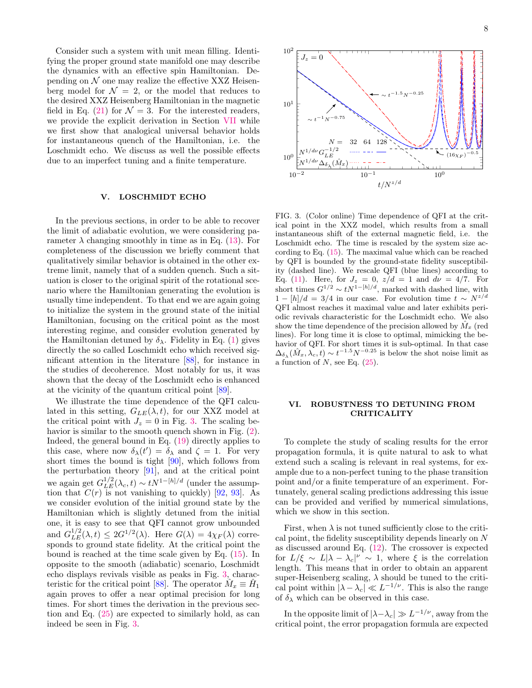Consider such a system with unit mean filling. Identifying the proper ground state manifold one may describe the dynamics with an effective spin Hamiltonian. Depending on  $N$  one may realize the effective XXZ Heisenberg model for  $\mathcal{N} = 2$ , or the model that reduces to the desired XXZ Heisenberg Hamiltonian in the magnetic field in Eq. [\(21\)](#page-5-1) for  $\mathcal{N} = 3$ . For the interested readers, we provide the explicit derivation in Section [VII](#page-9-0) while we first show that analogical universal behavior holds for instantaneous quench of the Hamiltonian, i.e. the Loschmidt echo. We discuss as well the possible effects due to an imperfect tuning and a finite temperature.

### <span id="page-7-0"></span>V. LOSCHMIDT ECHO

In the previous sections, in order to be able to recover the limit of adiabatic evolution, we were considering parameter  $\lambda$  changing smoothly in time as in Eq. [\(13\)](#page-3-4). For completeness of the discussion we briefly comment that qualitatively similar behavior is obtained in the other extreme limit, namely that of a sudden quench. Such a situation is closer to the original spirit of the rotational scenario where the Hamiltonian generating the evolution is usually time independent. To that end we are again going to initialize the system in the ground state of the initial Hamiltonian, focusing on the critical point as the most interesting regime, and consider evolution generated by the Hamiltonian detuned by  $\delta_{\lambda}$ . Fidelity in Eq. [\(1\)](#page-0-3) gives directly the so called Loschmidt echo which received significant attention in the literature [\[88\]](#page-14-6), for instance in the studies of decoherence. Most notably for us, it was shown that the decay of the Loschmidt echo is enhanced at the vicinity of the quantum critical point [\[89\]](#page-14-7).

We illustrate the time dependence of the QFI calculated in this setting,  $G_{LE}(\lambda, t)$ , for our XXZ model at the critical point with  $J_z = 0$  in Fig. [3.](#page-7-2) The scaling behavior is similar to the smooth quench shown in Fig. [\(2\)](#page-6-1). Indeed, the general bound in Eq. [\(19\)](#page-4-0) directly applies to this case, where now  $\delta_{\lambda}(t') = \delta_{\lambda}$  and  $\zeta = 1$ . For very short times the bound is tight [\[90\]](#page-14-8), which follows from the perturbation theory [\[91\]](#page-14-9), and at the critical point we again get  $G_{LE}^{1/2}(\lambda_c, t) \sim t N^{1-[h]/d}$  (under the assumption that  $C(r)$  is not vanishing to quickly) [\[92,](#page-14-10) [93\]](#page-14-11). As we consider evolution of the initial ground state by the Hamiltonian which is slightly detuned from the initial one, it is easy to see that QFI cannot grow unbounded and  $G_{LE}^{1/2}(\lambda, t) \leq 2G^{1/2}(\lambda)$ . Here  $G(\lambda) = 4\chi_F(\lambda)$  corresponds to ground state fidelity. At the critical point the bound is reached at the time scale given by Eq. [\(15\)](#page-3-1). In opposite to the smooth (adiabatic) scenario, Loschmidt echo displays revivals visible as peaks in Fig. [3,](#page-7-2) charac-teristic for the critical point [\[88\]](#page-14-6). The operator  $\hat{M}_x \equiv \hat{H}_1$ again proves to offer a near optimal precision for long times. For short times the derivation in the previous section and Eq. [\(25\)](#page-6-0) are expected to similarly hold, as can indeed be seen in Fig. [3.](#page-7-2)



<span id="page-7-2"></span>FIG. 3. (Color online) Time dependence of QFI at the critical point in the XXZ model, which results from a small instantaneous shift of the external magnetic field, i.e. the Loschmidt echo. The time is rescaled by the system size according to Eq. [\(15\)](#page-3-1). The maximal value which can be reached by QFI is bounded by the ground-state fidelity susceptibility (dashed line). We rescale QFI (blue lines) according to Eq. [\(11\)](#page-2-2). Here, for  $J_z = 0$ ,  $z/d = 1$  and  $d\nu = 4/7$ . For short times  $G^{1/2} \sim t N^{1-[h]/d}$ , marked with dashed line, with  $1 - \frac{h}{d} = 3/4$  in our case. For evolution time  $t \sim N^{z/d}$ QFI almost reaches it maximal value and later exhibits periodic revivals characteristic for the Loschmidt echo. We also show the time dependence of the precision allowed by  $\tilde{M}_x$  (red lines). For long time it is close to optimal, mimicking the behavior of QFI. For short times it is sub-optimal. In that case  $\Delta_{\delta_{\lambda}}(\hat{M}_x, \lambda_c, t) \sim t^{-1.5} N^{-0.25}$  is below the shot noise limit as a function of  $N$ , see Eq.  $(25)$ .

# <span id="page-7-1"></span>VI. ROBUSTNESS TO DETUNING FROM CRITICALITY

To complete the study of scaling results for the error propagation formula, it is quite natural to ask to what extend such a scaling is relevant in real systems, for example due to a non-perfect tuning to the phase transition point and/or a finite temperature of an experiment. Fortunately, general scaling predictions addressing this issue can be provided and verified by numerical simulations, which we show in this section.

First, when  $\lambda$  is not tuned sufficiently close to the critical point, the fidelity susceptibility depends linearly on N as discussed around Eq. [\(12\)](#page-2-3). The crossover is expected for  $L/\xi \sim L|\lambda - \lambda_c|^{\nu} \sim 1$ , where  $\xi$  is the correlation length. This means that in order to obtain an apparent super-Heisenberg scaling,  $\lambda$  should be tuned to the critical point within  $|\lambda - \lambda_c| \ll L^{-1/\nu}$ . This is also the range of  $\delta_{\lambda}$  which can be observed in this case.

In the opposite limit of  $|\lambda-\lambda_c|\gg L^{-1/\nu}$ , away from the critical point, the error propagation formula are expected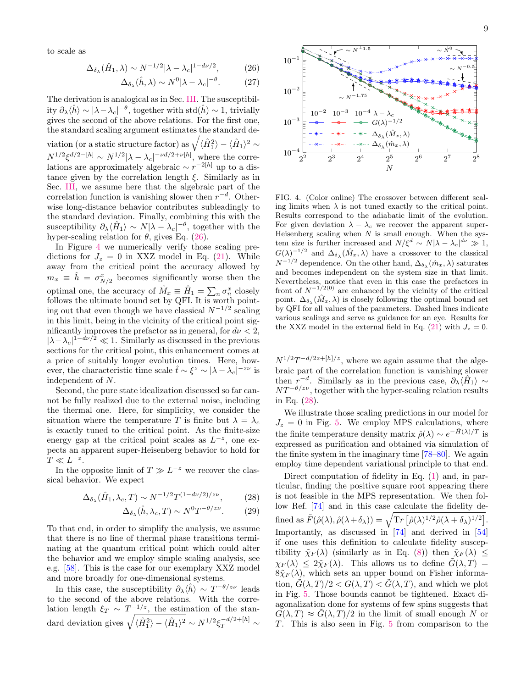to scale as

<span id="page-8-0"></span>
$$
\Delta_{\delta_{\lambda}}(\hat{H}_1, \lambda) \sim N^{-1/2} |\lambda - \lambda_c|^{1 - d\nu/2}, \tag{26}
$$

$$
\Delta_{\delta_{\lambda}}(\hat{h}, \lambda) \sim N^0 |\lambda - \lambda_c|^{-\theta}.
$$
 (27)

The derivation is analogical as in Sec. [III.](#page-3-0) The susceptibility  $\partial_{\lambda}\langle \hat{h} \rangle \sim |\lambda - \lambda_c|^{-\theta}$ , together with std $(\hat{h}) \sim 1$ , trivially gives the second of the above relations. For the first one, the standard scaling argument estimates the standard deviation (or a static structure factor) as  $\sqrt{\langle \hat{H}_1^2\rangle - \langle \hat{H}_1\rangle^2} \sim$  $N^{1/2}\xi^{d/2-[h]} \sim N^{1/2}|\lambda-\lambda_c|^{-\nu d/2+\nu[h]},$  where the correlations are approximately algebraic  $\sim r^{-2[h]}$  up to a distance given by the correlation length  $\xi$ . Similarly as in Sec. [III,](#page-3-0) we assume here that the algebraic part of the correlation function is vanishing slower then  $r^{-d}$ . Otherwise long-distance behavior contributes subleadingly to the standard deviation. Finally, combining this with the susceptibility  $\partial_{\lambda}\langle \hat{H}_1 \rangle \sim N |\lambda - \lambda_c|^{-\theta}$ , together with the hyper-scaling relation for  $\theta$ , gives Eq. [\(26\)](#page-8-0).

In Figure [4](#page-8-1) we numerically verify those scaling predictions for  $J_z = 0$  in XXZ model in Eq. [\(21\)](#page-5-1). While away from the critical point the accuracy allowed by  $m_x \equiv \hat{h} = \sigma_{N/2}^x$  becomes significantly worse then the optimal one, the accuracy of  $\hat{M}_x \equiv \hat{H}_1 = \sum_n \sigma_n^x$  closely follows the ultimate bound set by QFI. It is worth pointing out that even though we have classical  $N^{-1/2}$  scaling in this limit, being in the vicinity of the critical point significantly improves the prefactor as in general, for  $d\nu < 2$ ,  $|\lambda - \lambda_c|^{1-d\nu/2} \ll 1$ . Similarly as discussed in the previous sections for the critical point, this enhancement comes at a price of suitably longer evolution times. Here, however, the characteristic time scale  $\hat{t} \sim \xi^z \sim |\lambda - \lambda_c|^{-z\nu}$  is independent of N.

Second, the pure state idealization discussed so far cannot be fully realized due to the external noise, including the thermal one. Here, for simplicity, we consider the situation where the temperature T is finite but  $\lambda = \lambda_c$ is exactly tuned to the critical point. As the finite-size energy gap at the critical point scales as  $L^{-z}$ , one expects an apparent super-Heisenberg behavior to hold for  $T \ll L^{-z}$ .

In the opposite limit of  $T \gg L^{-z}$  we recover the classical behavior. We expect

<span id="page-8-2"></span>
$$
\Delta_{\delta_{\lambda}}(\hat{H}_1, \lambda_c, T) \sim N^{-1/2} T^{(1-d\nu/2)/z\nu},\tag{28}
$$

$$
\Delta_{\delta_{\lambda}}(\hat{h}, \lambda_c, T) \sim N^0 T^{-\theta/z\nu}.
$$
 (29)

To that end, in order to simplify the analysis, we assume that there is no line of thermal phase transitions terminating at the quantum critical point which could alter the behavior and we employ simple scaling analysis, see e.g. [\[58\]](#page-13-10). This is the case for our exemplary XXZ model and more broadly for one-dimensional systems.

In this case, the susceptibility  $\partial_{\lambda}\langle \hat{h} \rangle \sim T^{-\theta/2\nu}$  leads to the second of the above relations. With the correlation length  $\xi_T \sim T^{-1/z}$ , the estimation of the standard deviation gives  $\sqrt{\langle \hat{H}_1^2 \rangle - \langle \hat{H}_1 \rangle^2} \sim N^{1/2} \xi_T^{-d/2 + [h]} \sim$ 



<span id="page-8-1"></span>FIG. 4. (Color online) The crossover between different scaling limits when  $\lambda$  is not tuned exactly to the critical point. Results correspond to the adiabatic limit of the evolution. For given deviation  $\lambda - \lambda_c$  we recover the apparent super-Heisenberg scaling when  $N$  is small enough. When the system size is further increased and  $N/\xi^d \sim N|\lambda - \lambda_c|^{d\nu} \gg 1$ ,  $G(\lambda)^{-1/2}$  and  $\Delta_{\delta_{\lambda}}(\hat{M}_x, \lambda)$  have a crossover to the classical  $N^{-1/2}$  dependence. On the other hand,  $\Delta_{\delta_{\lambda}}(\hat{m}_x, \lambda)$  saturates and becomes independent on the system size in that limit. Nevertheless, notice that even in this case the prefactors in front of  $N^{-1/2(0)}$  are enhanced by the vicinity of the critical point.  $\Delta_{\delta_{\lambda}}(\hat{M}_x, \lambda)$  is closely following the optimal bound set by QFI for all values of the parameters. Dashed lines indicate various scalings and serve as guidance for an eye. Results for the XXZ model in the external field in Eq. [\(21\)](#page-5-1) with  $J_z = 0$ .

 $N^{1/2}T^{-d/2z+[h]/z}$ , where we again assume that the algebraic part of the correlation function is vanishing slower then  $r^{-d}$ . Similarly as in the previous case,  $\partial_{\lambda} \langle \hat{H}_1 \rangle \sim$  $NT^{-\theta/z\nu}$  , together with the hyper-scaling relation results in Eq. [\(28\)](#page-8-2).

We illustrate those scaling predictions in our model for  $J_z = 0$  in Fig. [5.](#page-9-1) We employ MPS calculations, where the finite temperature density matrix  $\hat{\rho}(\lambda) \sim e^{-\hat{H}(\lambda)/T}$  is expressed as purification and obtained via simulation of the finite system in the imaginary time [\[78–](#page-13-32)[80\]](#page-13-33). We again employ time dependent variational principle to that end.

Direct computation of fidelity in Eq. [\(1\)](#page-0-3) and, in particular, finding the positive square root appearing there is not feasible in the MPS representation. We then follow Ref. [\[74\]](#page-13-34) and in this case calculate the fidelity defined as  $\tilde{F}(\hat{\rho}(\lambda), \hat{\rho}(\lambda + \delta_{\lambda})) = \sqrt{\mathrm{Tr} \left[ \hat{\rho}(\lambda)^{1/2} \hat{\rho}(\lambda + \delta_{\lambda})^{1/2} \right]}$ . Importantly, as discussed in [\[74\]](#page-13-34) and derived in [\[54\]](#page-13-19) if one uses this definition to calculate fidelity susceptibility  $\tilde{\chi}_F(\lambda)$  (similarly as in Eq. [\(8\)](#page-1-2)) then  $\tilde{\chi}_F(\lambda) \leq$  $\chi_F(\lambda) \leq 2\tilde{\chi}_F(\lambda)$ . This allows us to define  $\tilde{G}(\lambda,T) =$  $8\tilde{\chi}_F(\lambda)$ , which sets an upper bound on Fisher information,  $\tilde{G}(\lambda, T)/2 < G(\lambda, T) < \tilde{G}(\lambda, T)$ , and which we plot in Fig. [5.](#page-9-1) Those bounds cannot be tightened. Exact diagonalization done for systems of few spins suggests that  $G(\lambda, T) \approx G(\lambda, T)/2$  in the limit of small enough N or T. This is also seen in Fig. [5](#page-9-1) from comparison to the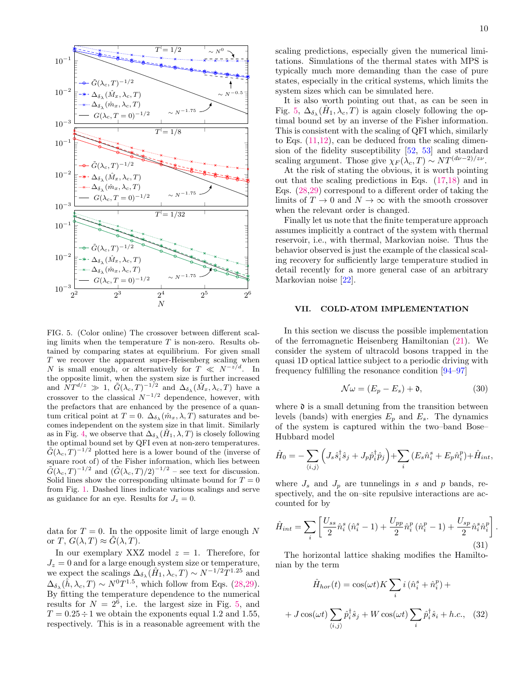

<span id="page-9-1"></span>FIG. 5. (Color online) The crossover between different scaling limits when the temperature  $T$  is non-zero. Results obtained by comparing states at equilibrium. For given small T we recover the apparent super-Heisenberg scaling when N is small enough, or alternatively for  $T \ll N^{-z/d}$ . In the opposite limit, when the system size is further increased and  $NT^{d/z} \gg 1$ ,  $\tilde{G}(\lambda_c, T)^{-1/2}$  and  $\Delta_{\delta_{\lambda}}(\hat{M}_x, \lambda_c, T)$  have a crossover to the classical  $N^{-1/2}$  dependence, however, with the prefactors that are enhanced by the presence of a quantum critical point at  $T = 0$ .  $\Delta_{\delta_{\lambda}}(\hat{m}_x, \lambda, T)$  saturates and becomes independent on the system size in that limit. Similarly as in Fig. [4,](#page-8-1) we observe that  $\Delta_{\delta_{\lambda}}(\hat{H}_1, \lambda, T)$  is closely following the optimal bound set by QFI even at non-zero temperatures.  $\tilde{G}(\lambda_c, T)^{-1/2}$  plotted here is a lower bound of the (inverse of square root of) of the Fisher information, which lies between  $\tilde{G}(\lambda_c, T)^{-1/2}$  and  $(\tilde{G}(\lambda_c, T)/2)^{-1/2}$  – see text for discussion. Solid lines show the corresponding ultimate bound for  $T = 0$ from Fig. [1.](#page-5-3) Dashed lines indicate various scalings and serve as guidance for an eye. Results for  $J_z = 0$ .

data for  $T = 0$ . In the opposite limit of large enough N or T,  $G(\lambda, T) \approx G(\lambda, T)$ .

In our exemplary XXZ model  $z = 1$ . Therefore, for  $J_z = 0$  and for a large enough system size or temperature, we expect the scalings  $\Delta_{\delta_{\lambda}}(\hat{H}_1, \lambda_c, T) \sim N^{-1/2}T^{1.25}$  and  $\Delta_{\delta_{\lambda}}(\hat{h}, \lambda_c, T) \sim N^0 T^{1.5}$ , which follow from Eqs. [\(28,29\)](#page-8-2). By fitting the temperature dependence to the numerical results for  $N = 2^6$ , i.e. the largest size in Fig. [5,](#page-9-1) and  $T = 0.25 \div 1$  we obtain the exponents equal 1.2 and 1.55, respectively. This is in a reasonable agreement with the scaling predictions, especially given the numerical limitations. Simulations of the thermal states with MPS is typically much more demanding than the case of pure states, especially in the critical systems, which limits the system sizes which can be simulated here.

It is also worth pointing out that, as can be seen in Fig. [5,](#page-9-1)  $\Delta_{\delta_{\lambda}}(\hat{H}_1, \lambda_c, T)$  is again closely following the optimal bound set by an inverse of the Fisher information. This is consistent with the scaling of QFI which, similarly to Eqs. [\(11](#page-2-2)[,12\)](#page-2-3), can be deduced from the scaling dimension of the fidelity susceptibility [\[52,](#page-13-7) [53\]](#page-13-11) and standard scaling argument. Those give  $\chi_F(\lambda_c, T) \sim NT^{(d\nu-2)/z\nu}$ .

At the risk of stating the obvious, it is worth pointing out that the scaling predictions in Eqs. [\(17,18\)](#page-3-3) and in Eqs. [\(28,29\)](#page-8-2) correspond to a different order of taking the limits of  $T \to 0$  and  $N \to \infty$  with the smooth crossover when the relevant order is changed.

Finally let us note that the finite temperature approach assumes implicitly a contract of the system with thermal reservoir, i.e., with thermal, Markovian noise. Thus the behavior observed is just the example of the classical scaling recovery for sufficiently large temperature studied in detail recently for a more general case of an arbitrary Markovian noise [\[22\]](#page-12-12).

#### <span id="page-9-0"></span>VII. COLD-ATOM IMPLEMENTATION

In this section we discuss the possible implementation of the ferromagnetic Heisenberg Hamiltonian [\(21\)](#page-5-1). We consider the system of ultracold bosons trapped in the quasi 1D optical lattice subject to a periodic driving with frequency fulfilling the resonance condition [\[94](#page-14-12)[–97\]](#page-14-13)

$$
\mathcal{N}\omega = (E_p - E_s) + \mathfrak{d},\tag{30}
$$

.

where  $\mathfrak d$  is a small detuning from the transition between levels (bands) with energies  $E_p$  and  $E_s$ . The dynamics of the system is captured within the two–band Bose– Hubbard model

$$
\hat{H}_0 = -\sum_{\langle i,j\rangle} \left( J_s \hat{s}_i^\dagger \hat{s}_j + J_p \hat{p}_i^\dagger \hat{p}_j \right) + \sum_i \left( E_s \hat{n}_i^s + E_p \hat{n}_i^p \right) + \hat{H}_{int},
$$

where  $J_s$  and  $J_p$  are tunnelings in s and p bands, respectively, and the on–site repulsive interactions are accounted for by

$$
\hat{H}_{int} = \sum_{i} \left[ \frac{U_{ss}}{2} \hat{n}_{i}^{s} \left( \hat{n}_{i}^{s} - 1 \right) + \frac{U_{pp}}{2} \hat{n}_{i}^{p} \left( \hat{n}_{i}^{p} - 1 \right) + \frac{U_{sp}}{2} \hat{n}_{i}^{s} \hat{n}_{i}^{p} \right]
$$
\n(31)

The horizontal lattice shaking modifies the Hamiltonian by the term

$$
\hat{H}_{hor}(t) = \cos(\omega t) K \sum_{i} i (\hat{n}_{i}^{s} + \hat{n}_{i}^{p}) +
$$

$$
+ J \cos(\omega t) \sum_{\langle i,j \rangle} \hat{p}_{i}^{\dagger} \hat{s}_{j} + W \cos(\omega t) \sum_{i} \hat{p}_{i}^{\dagger} \hat{s}_{i} + h.c., \quad (32)
$$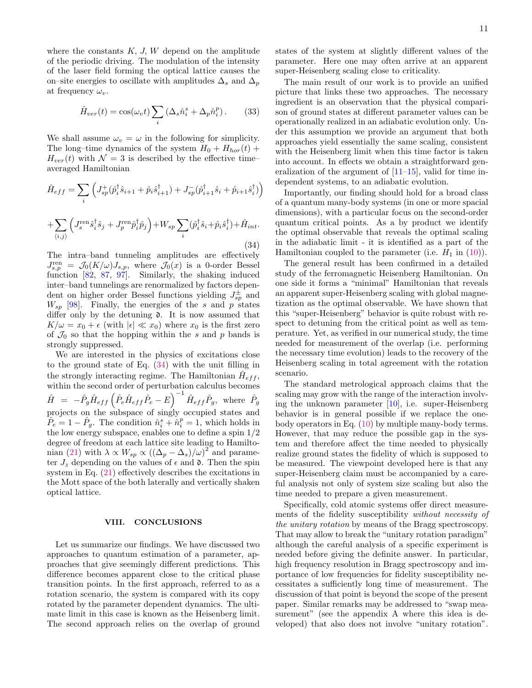where the constants  $K, J, W$  depend on the amplitude of the periodic driving. The modulation of the intensity of the laser field forming the optical lattice causes the on–site energies to oscillate with amplitudes  $\Delta_s$  and  $\Delta_p$ at frequency  $\omega_v$ .

$$
\hat{H}_{ver}(t) = \cos(\omega_v t) \sum_i (\Delta_s \hat{n}_i^s + \Delta_p \hat{n}_i^p).
$$
 (33)

We shall assume  $\omega_v = \omega$  in the following for simplicity. The long–time dynamics of the system  $H_0 + H_{hor}(t)$  +  $H_{ver}(t)$  with  $\mathcal{N}=3$  is described by the effective timeaveraged Hamiltonian

<span id="page-10-1"></span>
$$
\hat{H}_{eff} = \sum_{i} \left( J_{sp}^{+} (\hat{p}_i^{\dagger} \hat{s}_{i+1} + \hat{p}_i \hat{s}_{i+1}^{\dagger}) + J_{sp}^{-} (\hat{p}_{i+1}^{\dagger} \hat{s}_i + \hat{p}_{i+1} \hat{s}_i^{\dagger}) \right) \n+ \sum_{\langle i,j \rangle} \left( J_{s}^{\text{ren}} \hat{s}_i^{\dagger} \hat{s}_j + J_{p}^{\text{ren}} \hat{p}_i^{\dagger} \hat{p}_j \right) + W_{sp} \sum_{i} (\hat{p}_i^{\dagger} \hat{s}_i + \hat{p}_i \hat{s}_i^{\dagger}) + \hat{H}_{int}.
$$
\n(34)

The intra–band tunneling amplitudes are effectively  $J_{s,p}^{\text{ren}} = \mathcal{J}_0(K/\omega)J_{s,p}$ , where  $\mathcal{J}_0(x)$  is a 0-order Bessel function [\[82,](#page-14-1) [87,](#page-14-5) [97\]](#page-14-13). Similarly, the shaking induced inter–band tunnelings are renormalized by factors dependent on higher order Bessel functions yielding  $J_{sp}^{\pm}$  and  $W_{sp}$  [\[98\]](#page-14-14). Finally, the energies of the s and p states differ only by the detuning  $\mathfrak d$ . It is now assumed that  $K/\omega = x_0 + \epsilon$  (with  $|\epsilon| \ll x_0$ ) where  $x_0$  is the first zero of  $\mathcal{J}_0$  so that the hopping within the s and p bands is strongly suppressed.

We are interested in the physics of excitations close to the ground state of Eq. [\(34\)](#page-10-1) with the unit filling in the strongly interacting regime. The Hamiltonian  $\hat{H}_{eff}$ , within the second order of perturbation calculus becomes  $\hat{H}~=~-\hat{P}_{g}\hat{H}_{eff}\left(\hat{P}_{e}\hat{H}_{eff}\hat{P}_{e}-E\right)^{-1}\hat{H}_{eff}\hat{P}_{g}, \,\,\hbox{where} \,\,\,\hat{P}_{g}$ projects on the subspace of singly occupied states and  $\hat{P}_e = 1 - \hat{P}_g$ . The condition  $\hat{n}_i^s + \hat{n}_i^p = 1$ , which holds in the low energy subspace, enables one to define a spin 1/2 degree of freedom at each lattice site leading to Hamilto-nian [\(21\)](#page-5-1) with  $\lambda \propto W_{sp} \propto \left( (\Delta_p - \Delta_s)/\omega \right)^2$  and parameter  $J_z$  depending on the values of  $\epsilon$  and  $\mathfrak{d}$ . Then the spin system in Eq. [\(21\)](#page-5-1) effectively describes the excitations in the Mott space of the both laterally and vertically shaken optical lattice.

### <span id="page-10-0"></span>VIII. CONCLUSIONS

Let us summarize our findings. We have discussed two approaches to quantum estimation of a parameter, approaches that give seemingly different predictions. This difference becomes apparent close to the critical phase transition points. In the first approach, referred to as a rotation scenario, the system is compared with its copy rotated by the parameter dependent dynamics. The ultimate limit in this case is known as the Heisenberg limit. The second approach relies on the overlap of ground states of the system at slightly different values of the parameter. Here one may often arrive at an apparent super-Heisenberg scaling close to criticality.

The main result of our work is to provide an unified picture that links these two approaches. The necessary ingredient is an observation that the physical comparison of ground states at different parameter values can be operationally realized in an adiabatic evolution only. Under this assumption we provide an argument that both approaches yield essentially the same scaling, consistent with the Heisenberg limit when this time factor is taken into account. In effects we obtain a straightforward generalization of the argument of  $[11–15]$  $[11–15]$ , valid for time independent systems, to an adiabatic evolution.

Importantly, our finding should hold for a broad class of a quantum many-body systems (in one or more spacial dimensions), with a particular focus on the second-order quantum critical points. As a by product we identify the optimal observable that reveals the optimal scaling in the adiabatic limit - it is identified as a part of the Hamiltonian coupled to the parameter (i.e.  $H_1$  in [\(10\)](#page-2-1)).

The general result has been confirmed in a detailed study of the ferromagnetic Heisenberg Hamiltonian. On one side it forms a "minimal" Hamiltonian that reveals an apparent super-Heisenberg scaling with global magnetization as the optimal observable. We have shown that this "super-Heisenberg" behavior is quite robust with respect to detuning from the critical point as well as temperature. Yet, as verified in our numerical study, the time needed for measurement of the overlap (i.e. performing the necessary time evolution) leads to the recovery of the Heisenberg scaling in total agreement with the rotation scenario.

The standard metrological approach claims that the scaling may grow with the range of the interaction involving the unknown parameter [\[10\]](#page-12-7), i.e. super-Heisenberg behavior is in general possible if we replace the onebody operators in Eq. [\(10\)](#page-2-1) by multiple many-body terms. However, that may reduce the possible gap in the system and therefore affect the time needed to physically realize ground states the fidelity of which is supposed to be measured. The viewpoint developed here is that any super-Heisenberg claim must be accompanied by a careful analysis not only of system size scaling but also the time needed to prepare a given measurement.

Specifically, cold atomic systems offer direct measurements of the fidelity susceptibility without necessity of the unitary rotation by means of the Bragg spectroscopy. That may allow to break the "unitary rotation paradigm" although the careful analysis of a specific experiment is needed before giving the definite answer. In particular, high frequency resolution in Bragg spectroscopy and importance of low frequencies for fidelity susceptibility necessitates a sufficiently long time of measurement. The discussion of that point is beyond the scope of the present paper. Similar remarks may be addressed to "swap measurement" (see the appendix A where this idea is developed) that also does not involve "unitary rotation".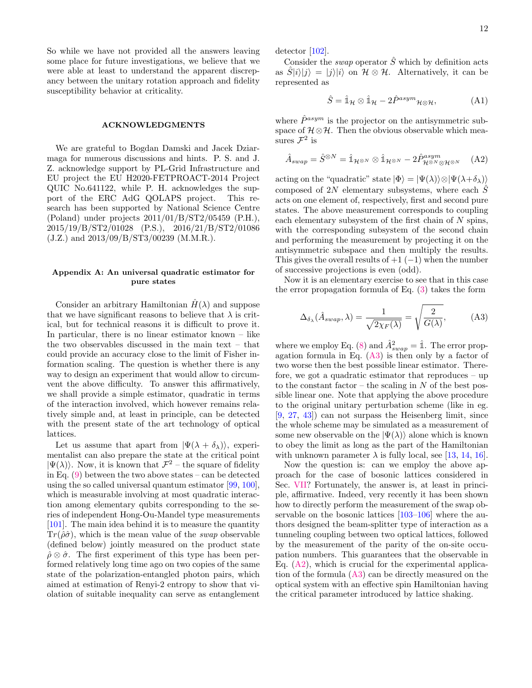So while we have not provided all the answers leaving some place for future investigations, we believe that we were able at least to understand the apparent discrepancy between the unitary rotation approach and fidelity susceptibility behavior at criticality.

#### ACKNOWLEDGMENTS

We are grateful to Bogdan Damski and Jacek Dziarmaga for numerous discussions and hints. P. S. and J. Z. acknowledge support by PL-Grid Infrastructure and EU project the EU H2020-FETPROACT-2014 Project QUIC No.641122, while P. H. acknowledges the support of the ERC AdG QOLAPS project. This research has been supported by National Science Centre (Poland) under projects 2011/01/B/ST2/05459 (P.H.), 2015/19/B/ST2/01028 (P.S.), 2016/21/B/ST2/01086 (J.Z.) and 2013/09/B/ST3/00239 (M.M.R.).

# <span id="page-11-0"></span>Appendix A: An universal quadratic estimator for pure states

Consider an arbitrary Hamiltonian  $H(\lambda)$  and suppose that we have significant reasons to believe that  $\lambda$  is critical, but for technical reasons it is difficult to prove it. In particular, there is no linear estimator known – like the two observables discussed in the main text – that could provide an accuracy close to the limit of Fisher information scaling. The question is whether there is any way to design an experiment that would allow to circumvent the above difficulty. To answer this affirmatively, we shall provide a simple estimator, quadratic in terms of the interaction involved, which however remains relatively simple and, at least in principle, can be detected with the present state of the art technology of optical lattices.

Let us assume that apart from  $|\Psi(\lambda + \delta_{\lambda})\rangle$ , experimentalist can also prepare the state at the critical point  $|\Psi(\lambda)\rangle$ . Now, it is known that  $\mathcal{F}^2$  – the square of fidelity in Eq.  $(9)$  between the two above states – can be detected using the so called universal quantum estimator [\[99,](#page-14-15) [100\]](#page-14-16), which is measurable involving at most quadratic interaction among elementary qubits corresponding to the series of independent Hong-Ou-Mandel type measurements [\[101\]](#page-14-17). The main idea behind it is to measure the quantity  $Tr(\hat{\rho}\hat{\sigma})$ , which is the mean value of the *swap* observable (defined below) jointly measured on the product state  $\rho \otimes \hat{\sigma}$ . The first experiment of this type has been performed relatively long time ago on two copies of the same state of the polarization-entangled photon pairs, which aimed at estimation of Renyi-2 entropy to show that violation of suitable inequality can serve as entanglement

detector [\[102\]](#page-14-18).

Consider the *swap* operator  $\hat{S}$  which by definition acts as  $\hat{S}|i\rangle|j\rangle = |j\rangle|i\rangle$  on  $\mathcal{H} \otimes \mathcal{H}$ . Alternatively, it can be represented as

$$
\hat{S} = \hat{\mathbb{1}}_{\mathcal{H}} \otimes \hat{\mathbb{1}}_{\mathcal{H}} - 2\hat{P}^{asym} \mathbb{1}_{\mathcal{H} \otimes \mathcal{H}},\tag{A1}
$$

where  $\hat{P}^{asym}$  is the projector on the antisymmetric subspace of  $\mathcal{H} \otimes \mathcal{H}$ . Then the obvious observable which measures  $\mathcal{F}^2$  is

<span id="page-11-2"></span>
$$
\hat{A}_{swap} = \hat{S}^{\otimes N} = \hat{\mathbb{1}}_{\mathcal{H}^{\otimes N}} \otimes \hat{\mathbb{1}}_{\mathcal{H}^{\otimes N}} - 2\hat{P}_{\mathcal{H}^{\otimes N} \otimes \mathcal{H}^{\otimes N}}^{\text{asym}} \quad \text{(A2)}
$$

acting on the "quadratic" state  $|\Phi\rangle = |\Psi(\lambda)\rangle \otimes |\Psi(\lambda+\delta_{\lambda})\rangle$ composed of 2N elementary subsystems, where each  $\hat{S}$ acts on one element of, respectively, first and second pure states. The above measurement corresponds to coupling each elementary subsystem of the first chain of  $N$  spins, with the corresponding subsystem of the second chain and performing the measurement by projecting it on the antisymmetric subspace and then multiply the results. This gives the overall results of  $+1$  ( $-1$ ) when the number of successive projections is even (odd).

Now it is an elementary exercise to see that in this case the error propagation formula of Eq. [\(3\)](#page-0-4) takes the form

<span id="page-11-1"></span>
$$
\Delta_{\delta_{\lambda}}(\hat{A}_{swap}, \lambda) = \frac{1}{\sqrt{2\chi_F(\lambda)}} = \sqrt{\frac{2}{G(\lambda)}},
$$
 (A3)

where we employ Eq. [\(8\)](#page-1-2) and  $\hat{A}^2_{swap} = \hat{\mathbb{1}}$ . The error propagation formula in Eq. [\(A3\)](#page-11-1) is then only by a factor of two worse then the best possible linear estimator. Therefore, we got a quadratic estimator that reproduces – up to the constant factor – the scaling in  $N$  of the best possible linear one. Note that applying the above procedure to the original unitary perturbation scheme (like in eg. [\[9,](#page-12-6) [27,](#page-12-17) [43\]](#page-13-21)) can not surpass the Heisenberg limit, since the whole scheme may be simulated as a measurement of some new observable on the  $|\Psi(\lambda)\rangle$  alone which is known to obey the limit as long as the part of the Hamiltonian with unknown parameter  $\lambda$  is fully local, see [\[13,](#page-12-29) [14,](#page-12-31) [16\]](#page-12-9).

Now the question is: can we employ the above approach for the case of bosonic lattices considered in Sec. [VII?](#page-9-0) Fortunately, the answer is, at least in principle, affirmative. Indeed, very recently it has been shown how to directly perform the measurement of the swap observable on the bosonic lattices [\[103](#page-14-19)[–106\]](#page-14-20) where the authors designed the beam-splitter type of interaction as a tunneling coupling between two optical lattices, followed by the measurement of the parity of the on-site occupation numbers. This guarantees that the observable in Eq.  $(A2)$ , which is crucial for the experimental application of the formula [\(A3\)](#page-11-1) can be directly measured on the optical system with an effective spin Hamiltonian having the critical parameter introduced by lattice shaking.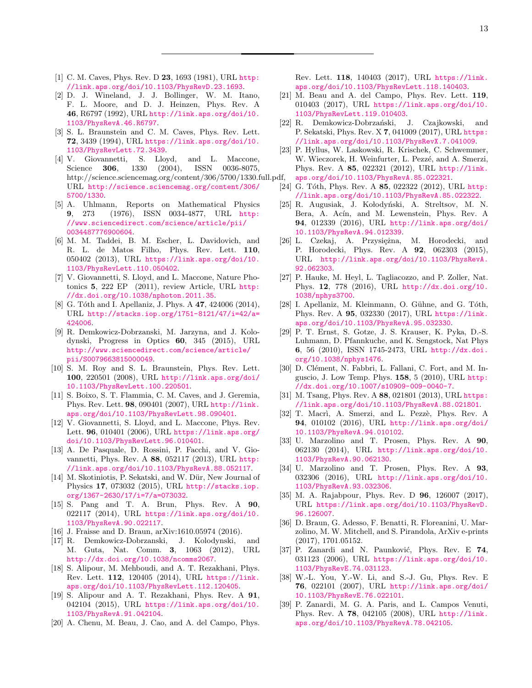- <span id="page-12-0"></span>[1] C. M. Caves, Phys. Rev. D 23, 1693 (1981), URL [http:](http://link.aps.org/doi/10.1103/PhysRevD.23.1693) [//link.aps.org/doi/10.1103/PhysRevD.23.1693](http://link.aps.org/doi/10.1103/PhysRevD.23.1693).
- [2] D. J. Wineland, J. J. Bollinger, W. M. Itano, F. L. Moore, and D. J. Heinzen, Phys. Rev. A 46, R6797 (1992), URL [http://link.aps.org/doi/10.](http://link.aps.org/doi/10.1103/PhysRevA.46.R6797) [1103/PhysRevA.46.R6797](http://link.aps.org/doi/10.1103/PhysRevA.46.R6797).
- <span id="page-12-3"></span>[3] S. L. Braunstein and C. M. Caves, Phys. Rev. Lett. 72, 3439 (1994), URL [https://link.aps.org/doi/10.](https://link.aps.org/doi/10.1103/PhysRevLett.72.3439) [1103/PhysRevLett.72.3439](https://link.aps.org/doi/10.1103/PhysRevLett.72.3439).
- <span id="page-12-1"></span> $[4]$  V. Giovannetti, S. Lloyd, and L. Maccone, Science **306**, 1330  $(2004)$ , ISSN 0036-8075, Science **306**, 1330 (2004), ISSN 0036-8075, http://science.sciencemag.org/content/306/5700/1330.full.pdf, URL [http://science.sciencemag.org/content/306/](http://science.sciencemag.org/content/306/5700/1330) [5700/1330](http://science.sciencemag.org/content/306/5700/1330).
- <span id="page-12-2"></span>[5] A. Uhlmann, Reports on Mathematical Physics 9, 273 (1976), ISSN 0034-4877, URL [http:](http://www.sciencedirect.com/science/article/pii/0034487776900604) [//www.sciencedirect.com/science/article/pii/](http://www.sciencedirect.com/science/article/pii/0034487776900604) [0034487776900604](http://www.sciencedirect.com/science/article/pii/0034487776900604).
- <span id="page-12-4"></span>[6] M. M. Taddei, B. M. Escher, L. Davidovich, and R. L. de Matos Filho, Phys. Rev. Lett. 110, 050402 (2013), URL [https://link.aps.org/doi/10.](https://link.aps.org/doi/10.1103/PhysRevLett.110.050402) [1103/PhysRevLett.110.050402](https://link.aps.org/doi/10.1103/PhysRevLett.110.050402).
- <span id="page-12-5"></span>[7] V. Giovannetti, S. Lloyd, and L. Maccone, Nature Photonics 5, 222 EP (2011), review Article, URL [http:](http://dx.doi.org/10.1038/nphoton.2011.35) [//dx.doi.org/10.1038/nphoton.2011.35](http://dx.doi.org/10.1038/nphoton.2011.35).
- [8] G. Tóth and I. Apellaniz, J. Phys. A 47, 424006 (2014), URL [http://stacks.iop.org/1751-8121/47/i=42/a=](http://stacks.iop.org/1751-8121/47/i=42/a=424006) [424006](http://stacks.iop.org/1751-8121/47/i=42/a=424006).
- <span id="page-12-6"></span>[9] R. Demkowicz-Dobrzanski, M. Jarzyna, and J. Kolodynski, Progress in Optics 60, 345 (2015), URL [http://www.sciencedirect.com/science/article/](http://www.sciencedirect.com/science/article/pii/S0079663815000049) [pii/S0079663815000049](http://www.sciencedirect.com/science/article/pii/S0079663815000049).
- <span id="page-12-7"></span>[10] S. M. Roy and S. L. Braunstein, Phys. Rev. Lett. 100, 220501 (2008), URL [http://link.aps.org/doi/](http://link.aps.org/doi/10.1103/PhysRevLett.100.220501) [10.1103/PhysRevLett.100.220501](http://link.aps.org/doi/10.1103/PhysRevLett.100.220501).
- <span id="page-12-8"></span>[11] S. Boixo, S. T. Flammia, C. M. Caves, and J. Geremia, Phys. Rev. Lett. 98, 090401 (2007), URL [http://link.](http://link.aps.org/doi/10.1103/PhysRevLett.98.090401) [aps.org/doi/10.1103/PhysRevLett.98.090401](http://link.aps.org/doi/10.1103/PhysRevLett.98.090401).
- [12] V. Giovannetti, S. Lloyd, and L. Maccone, Phys. Rev. Lett. 96, 010401 (2006), URL [https://link.aps.org/](https://link.aps.org/doi/10.1103/PhysRevLett.96.010401) [doi/10.1103/PhysRevLett.96.010401](https://link.aps.org/doi/10.1103/PhysRevLett.96.010401).
- <span id="page-12-29"></span>[13] A. De Pasquale, D. Rossini, P. Facchi, and V. Giovannetti, Phys. Rev. A 88, 052117 (2013), URL [http:](http://link.aps.org/doi/10.1103/PhysRevA.88.052117) [//link.aps.org/doi/10.1103/PhysRevA.88.052117](http://link.aps.org/doi/10.1103/PhysRevA.88.052117).
- <span id="page-12-31"></span>[14] M. Skotiniotis, P. Sekatski, and W. Dür, New Journal of Physics 17, 073032 (2015), URL [http://stacks.iop.](http://stacks.iop.org/1367-2630/17/i=7/a=073032) [org/1367-2630/17/i=7/a=073032](http://stacks.iop.org/1367-2630/17/i=7/a=073032).
- <span id="page-12-30"></span>[15] S. Pang and T. A. Brun, Phys. Rev. A 90, 022117 (2014), URL [https://link.aps.org/doi/10.](https://link.aps.org/doi/10.1103/PhysRevA.90.022117) [1103/PhysRevA.90.022117](https://link.aps.org/doi/10.1103/PhysRevA.90.022117).
- <span id="page-12-9"></span>[16] J. Fraisse and D. Braun, arXiv:1610.05974 (2016).
- <span id="page-12-10"></span>[17] R. Demkowicz-Dobrzanski, J. Kolodynski, and M. Guta, Nat. Comm. 3, 1063 (2012), URL <http://dx.doi.org/10.1038/ncomms2067>.
- <span id="page-12-11"></span>[18] S. Alipour, M. Mehboudi, and A. T. Rezakhani, Phys. Rev. Lett. 112, 120405 (2014), URL [https://link.](https://link.aps.org/doi/10.1103/PhysRevLett.112.120405) [aps.org/doi/10.1103/PhysRevLett.112.120405](https://link.aps.org/doi/10.1103/PhysRevLett.112.120405).
- [19] S. Alipour and A. T. Rezakhani, Phys. Rev. A 91, 042104 (2015), URL [https://link.aps.org/doi/10.](https://link.aps.org/doi/10.1103/PhysRevA.91.042104) [1103/PhysRevA.91.042104](https://link.aps.org/doi/10.1103/PhysRevA.91.042104).
- [20] A. Chenu, M. Beau, J. Cao, and A. del Campo, Phys.

Rev. Lett. 118, 140403 (2017), URL [https://link.](https://link.aps.org/doi/10.1103/PhysRevLett.118.140403) [aps.org/doi/10.1103/PhysRevLett.118.140403](https://link.aps.org/doi/10.1103/PhysRevLett.118.140403).

- [21] M. Beau and A. del Campo, Phys. Rev. Lett. 119, 010403 (2017), URL [https://link.aps.org/doi/10.](https://link.aps.org/doi/10.1103/PhysRevLett.119.010403) [1103/PhysRevLett.119.010403](https://link.aps.org/doi/10.1103/PhysRevLett.119.010403).
- <span id="page-12-12"></span>[22] R. Demkowicz-Dobrzański, J. Czajkowski, and P. Sekatski, Phys. Rev. X 7, 041009 (2017), URL [https:](https://link.aps.org/doi/10.1103/PhysRevX.7.041009) [//link.aps.org/doi/10.1103/PhysRevX.7.041009](https://link.aps.org/doi/10.1103/PhysRevX.7.041009).
- <span id="page-12-13"></span>[23] P. Hyllus, W. Laskowski, R. Krischek, C. Schwemmer, W. Wieczorek, H. Weinfurter, L. Pezzé, and A. Smerzi, Phys. Rev. A 85, 022321 (2012), URL [http://link.](http://link.aps.org/doi/10.1103/PhysRevA.85.022321) [aps.org/doi/10.1103/PhysRevA.85.022321](http://link.aps.org/doi/10.1103/PhysRevA.85.022321).
- <span id="page-12-14"></span>[24] G. Tóth, Phys. Rev. A 85, 022322 (2012), URL [http:](http://link.aps.org/doi/10.1103/PhysRevA.85.022322) [//link.aps.org/doi/10.1103/PhysRevA.85.022322](http://link.aps.org/doi/10.1103/PhysRevA.85.022322).
- <span id="page-12-15"></span>[25] R. Augusiak, J. Kołodyński, A. Streltsov, M. N. Bera, A. Acín, and M. Lewenstein, Phys. Rev. A 94, 012339 (2016), URL [http://link.aps.org/doi/](http://link.aps.org/doi/10.1103/PhysRevA.94.012339) [10.1103/PhysRevA.94.012339](http://link.aps.org/doi/10.1103/PhysRevA.94.012339).
- <span id="page-12-16"></span>[26] L. Czekaj, A. Przysiężna, M. Horodecki, and P. Horodecki, Phys. Rev. A 92, 062303 (2015), URL [http://link.aps.org/doi/10.1103/PhysRevA.](http://link.aps.org/doi/10.1103/PhysRevA.92.062303) [92.062303](http://link.aps.org/doi/10.1103/PhysRevA.92.062303).
- <span id="page-12-17"></span>[27] P. Hauke, M. Heyl, L. Tagliacozzo, and P. Zoller, Nat. Phys. 12, 778 (2016), URL [http://dx.doi.org/10.](http://dx.doi.org/10.1038/nphys3700) [1038/nphys3700](http://dx.doi.org/10.1038/nphys3700).
- <span id="page-12-18"></span>[28] I. Apellaniz, M. Kleinmann, O. Gühne, and G. Tóth, Phys. Rev. A 95, 032330 (2017), URL [https://link.](https://link.aps.org/doi/10.1103/PhysRevA.95.032330) [aps.org/doi/10.1103/PhysRevA.95.032330](https://link.aps.org/doi/10.1103/PhysRevA.95.032330).
- <span id="page-12-19"></span>[29] P. T. Ernst, S. Gotze, J. S. Krauser, K. Pyka, D.-S. Luhmann, D. Pfannkuche, and K. Sengstock, Nat Phys 6, 56 (2010), ISSN 1745-2473, URL [http://dx.doi.](http://dx.doi.org/10.1038/nphys1476) [org/10.1038/nphys1476](http://dx.doi.org/10.1038/nphys1476).
- <span id="page-12-20"></span>[30] D. Clément, N. Fabbri, L. Fallani, C. Fort, and M. Inguscio, J. Low Temp. Phys. 158, 5 (2010), URL [http:](http://dx.doi.org/10.1007/s10909-009-0040-7) [//dx.doi.org/10.1007/s10909-009-0040-7](http://dx.doi.org/10.1007/s10909-009-0040-7).
- <span id="page-12-21"></span>[31] M. Tsang, Phys. Rev. A 88, 021801 (2013), URL [https:](https://link.aps.org/doi/10.1103/PhysRevA.88.021801) [//link.aps.org/doi/10.1103/PhysRevA.88.021801](https://link.aps.org/doi/10.1103/PhysRevA.88.021801).
- <span id="page-12-22"></span>[32] T. Macrì, A. Smerzi, and L. Pezzè, Phys. Rev. A 94, 010102 (2016), URL [http://link.aps.org/doi/](http://link.aps.org/doi/10.1103/PhysRevA.94.010102) [10.1103/PhysRevA.94.010102](http://link.aps.org/doi/10.1103/PhysRevA.94.010102).
- <span id="page-12-23"></span>[33] U. Marzolino and T. Prosen, Phys. Rev. A 90, 062130 (2014), URL [http://link.aps.org/doi/10.](http://link.aps.org/doi/10.1103/PhysRevA.90.062130) [1103/PhysRevA.90.062130](http://link.aps.org/doi/10.1103/PhysRevA.90.062130).
- <span id="page-12-24"></span>[34] U. Marzolino and T. Prosen, Phys. Rev. A 93, 032306 (2016), URL [http://link.aps.org/doi/10.](http://link.aps.org/doi/10.1103/PhysRevA.93.032306) [1103/PhysRevA.93.032306](http://link.aps.org/doi/10.1103/PhysRevA.93.032306).
- <span id="page-12-25"></span>[35] M. A. Rajabpour, Phys. Rev. D **96**, 126007 (2017), URL [https://link.aps.org/doi/10.1103/PhysRevD.](https://link.aps.org/doi/10.1103/PhysRevD.96.126007) [96.126007](https://link.aps.org/doi/10.1103/PhysRevD.96.126007).
- <span id="page-12-26"></span>[36] D. Braun, G. Adesso, F. Benatti, R. Floreanini, U. Marzolino, M. W. Mitchell, and S. Pirandola, ArXiv e-prints (2017), 1701.05152.
- <span id="page-12-27"></span>[37] P. Zanardi and N. Paunković, Phys. Rev. E 74, 031123 (2006), URL [https://link.aps.org/doi/10.](https://link.aps.org/doi/10.1103/PhysRevE.74.031123) [1103/PhysRevE.74.031123](https://link.aps.org/doi/10.1103/PhysRevE.74.031123).
- [38] W.-L. You, Y.-W. Li, and S.-J. Gu, Phys. Rev. E 76, 022101 (2007), URL [http://link.aps.org/doi/](http://link.aps.org/doi/10.1103/PhysRevE.76.022101) [10.1103/PhysRevE.76.022101](http://link.aps.org/doi/10.1103/PhysRevE.76.022101).
- <span id="page-12-28"></span>[39] P. Zanardi, M. G. A. Paris, and L. Campos Venuti, Phys. Rev. A 78, 042105 (2008), URL [http://link.](http://link.aps.org/doi/10.1103/PhysRevA.78.042105) [aps.org/doi/10.1103/PhysRevA.78.042105](http://link.aps.org/doi/10.1103/PhysRevA.78.042105).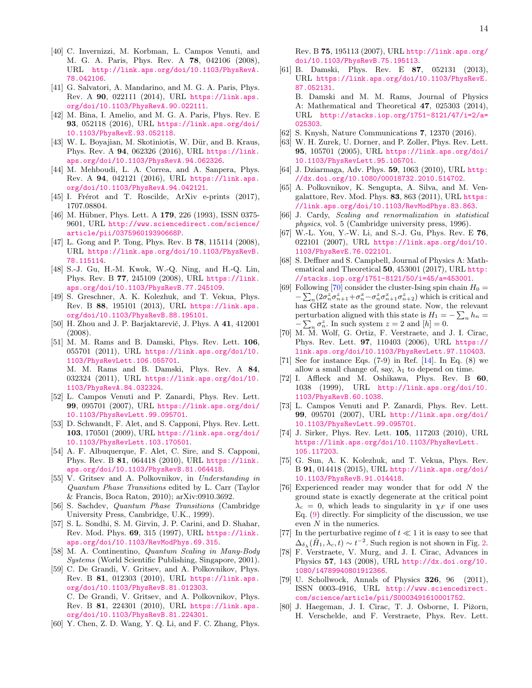- <span id="page-13-1"></span>[40] C. Invernizzi, M. Korbman, L. Campos Venuti, and M. G. A. Paris, Phys. Rev. A 78, 042106 (2008), URL [http://link.aps.org/doi/10.1103/PhysRevA.](http://link.aps.org/doi/10.1103/PhysRevA.78.042106) [78.042106](http://link.aps.org/doi/10.1103/PhysRevA.78.042106).
- [41] G. Salvatori, A. Mandarino, and M. G. A. Paris, Phys. Rev. A 90, 022111 (2014), URL [https://link.aps.](https://link.aps.org/doi/10.1103/PhysRevA.90.022111) [org/doi/10.1103/PhysRevA.90.022111](https://link.aps.org/doi/10.1103/PhysRevA.90.022111).
- [42] M. Bina, I. Amelio, and M. G. A. Paris, Phys. Rev. E 93, 052118 (2016), URL [https://link.aps.org/doi/](https://link.aps.org/doi/10.1103/PhysRevE.93.052118) [10.1103/PhysRevE.93.052118](https://link.aps.org/doi/10.1103/PhysRevE.93.052118).
- <span id="page-13-21"></span>[43] W. L. Boyajian, M. Skotiniotis, W. Dür, and B. Kraus, Phys. Rev. A 94, 062326 (2016), URL [https://link.](https://link.aps.org/doi/10.1103/PhysRevA.94.062326) [aps.org/doi/10.1103/PhysRevA.94.062326](https://link.aps.org/doi/10.1103/PhysRevA.94.062326).
- [44] M. Mehboudi, L. A. Correa, and A. Sanpera, Phys. Rev. A 94, 042121 (2016), URL [https://link.aps.](https://link.aps.org/doi/10.1103/PhysRevA.94.042121) [org/doi/10.1103/PhysRevA.94.042121](https://link.aps.org/doi/10.1103/PhysRevA.94.042121).
- <span id="page-13-0"></span>[45] I. Frérot and T. Roscilde, ArXiv e-prints (2017), 1707.08804.
- <span id="page-13-2"></span>[46] M. Hübner, Phys. Lett. A 179, 226 (1993), ISSN 0375-9601, URL [http://www.sciencedirect.com/science/](http://www.sciencedirect.com/science/article/pii/037596019390668P) [article/pii/037596019390668P](http://www.sciencedirect.com/science/article/pii/037596019390668P).
- <span id="page-13-3"></span>[47] L. Gong and P. Tong, Phys. Rev. B **78**, 115114 (2008), URL [https://link.aps.org/doi/10.1103/PhysRevB.](https://link.aps.org/doi/10.1103/PhysRevB.78.115114) [78.115114](https://link.aps.org/doi/10.1103/PhysRevB.78.115114).
- [48] S.-J. Gu, H.-M. Kwok, W.-Q. Ning, and H.-Q. Lin, Phys. Rev. B 77, 245109 (2008), URL [https://link.](https://link.aps.org/doi/10.1103/PhysRevB.77.245109) [aps.org/doi/10.1103/PhysRevB.77.245109](https://link.aps.org/doi/10.1103/PhysRevB.77.245109).
- <span id="page-13-4"></span>[49] S. Greschner, A. K. Kolezhuk, and T. Vekua, Phys. Rev. B 88, 195101 (2013), URL [https://link.aps.](https://link.aps.org/doi/10.1103/PhysRevB.88.195101) [org/doi/10.1103/PhysRevB.88.195101](https://link.aps.org/doi/10.1103/PhysRevB.88.195101).
- <span id="page-13-5"></span>[50] H. Zhou and J. P. Barjaktarevič, J. Phys. A 41, 412001 (2008).
- <span id="page-13-6"></span>[51] M. M. Rams and B. Damski, Phys. Rev. Lett. 106, 055701 (2011), URL [https://link.aps.org/doi/10.](https://link.aps.org/doi/10.1103/PhysRevLett.106.055701) [1103/PhysRevLett.106.055701](https://link.aps.org/doi/10.1103/PhysRevLett.106.055701). M. M. Rams and B. Damski, Phys. Rev. A 84, 032324 (2011), URL [https://link.aps.org/doi/10.](https://link.aps.org/doi/10.1103/PhysRevA.84.032324) [1103/PhysRevA.84.032324](https://link.aps.org/doi/10.1103/PhysRevA.84.032324).
- <span id="page-13-7"></span>[52] L. Campos Venuti and P. Zanardi, Phys. Rev. Lett. 99, 095701 (2007), URL [https://link.aps.org/doi/](https://link.aps.org/doi/10.1103/PhysRevLett.99.095701) [10.1103/PhysRevLett.99.095701](https://link.aps.org/doi/10.1103/PhysRevLett.99.095701).
- <span id="page-13-11"></span>[53] D. Schwandt, F. Alet, and S. Capponi, Phys. Rev. Lett. 103, 170501 (2009), URL [https://link.aps.org/doi/](https://link.aps.org/doi/10.1103/PhysRevLett.103.170501) [10.1103/PhysRevLett.103.170501](https://link.aps.org/doi/10.1103/PhysRevLett.103.170501).
- <span id="page-13-19"></span>[54] A. F. Albuquerque, F. Alet, C. Sire, and S. Capponi, Phys. Rev. B 81, 064418 (2010), URL [https://link.](https://link.aps.org/doi/10.1103/PhysRevB.81.064418) [aps.org/doi/10.1103/PhysRevB.81.064418](https://link.aps.org/doi/10.1103/PhysRevB.81.064418).
- <span id="page-13-8"></span>[55] V. Gritsev and A. Polkovnikov, in Understanding in Quantum Phase Transitions edited by L. Carr (Taylor & Francis, Boca Raton, 2010); arXiv:0910.3692.
- <span id="page-13-9"></span>[56] S. Sachdev, Quantum Phase Transitions (Cambridge University Press, Cambridge, U.K., 1999).
- <span id="page-13-31"></span>[57] S. L. Sondhi, S. M. Girvin, J. P. Carini, and D. Shahar, Rev. Mod. Phys. 69, 315 (1997), URL [https://link.](https://link.aps.org/doi/10.1103/RevModPhys.69.315) [aps.org/doi/10.1103/RevModPhys.69.315](https://link.aps.org/doi/10.1103/RevModPhys.69.315).
- <span id="page-13-10"></span>[58] M. A. Continentino, Quantum Scaling in Many-Body Systems (World Scientific Publishing, Singapore, 2001).
- <span id="page-13-12"></span>[59] C. De Grandi, V. Gritsev, and A. Polkovnikov, Phys. Rev. B 81, 012303 (2010), URL [https://link.aps.](https://link.aps.org/doi/10.1103/PhysRevB.81.012303) [org/doi/10.1103/PhysRevB.81.012303](https://link.aps.org/doi/10.1103/PhysRevB.81.012303). C. De Grandi, V. Gritsev, and A. Polkovnikov, Phys. Rev. B 81, 224301 (2010), URL [https://link.aps.](https://link.aps.org/doi/10.1103/PhysRevB.81.224301) [org/doi/10.1103/PhysRevB.81.224301](https://link.aps.org/doi/10.1103/PhysRevB.81.224301).
- <span id="page-13-13"></span>[60] Y. Chen, Z. D. Wang, Y. Q. Li, and F. C. Zhang, Phys.

Rev. B 75, 195113 (2007), URL [http://link.aps.org/](http://link.aps.org/doi/10.1103/PhysRevB.75.195113) [doi/10.1103/PhysRevB.75.195113](http://link.aps.org/doi/10.1103/PhysRevB.75.195113).

- <span id="page-13-14"></span>[61] B. Damski, Phys. Rev. E 87, 052131 (2013), URL [https://link.aps.org/doi/10.1103/PhysRevE.](https://link.aps.org/doi/10.1103/PhysRevE.87.052131) [87.052131](https://link.aps.org/doi/10.1103/PhysRevE.87.052131). B. Damski and M. M. Rams, Journal of Physics A: Mathematical and Theoretical 47, 025303 (2014),
	- URL [http://stacks.iop.org/1751-8121/47/i=2/a=](http://stacks.iop.org/1751-8121/47/i=2/a=025303) [025303](http://stacks.iop.org/1751-8121/47/i=2/a=025303).
- <span id="page-13-15"></span>[62] S. Knysh, Nature Communications 7, 12370 (2016).
- <span id="page-13-16"></span>[63] W. H. Zurek, U. Dorner, and P. Zoller, Phys. Rev. Lett. 95, 105701 (2005), URL [https://link.aps.org/doi/](https://link.aps.org/doi/10.1103/PhysRevLett.95.105701) [10.1103/PhysRevLett.95.105701](https://link.aps.org/doi/10.1103/PhysRevLett.95.105701).
- [64] J. Dziarmaga, Adv. Phys. **59**, 1063 (2010), URL [http:](http://dx.doi.org/10.1080/00018732.2010.514702) [//dx.doi.org/10.1080/00018732.2010.514702](http://dx.doi.org/10.1080/00018732.2010.514702).
- <span id="page-13-17"></span>[65] A. Polkovnikov, K. Sengupta, A. Silva, and M. Vengalattore, Rev. Mod. Phys. 83, 863 (2011), URL [https:](https://link.aps.org/doi/10.1103/RevModPhys.83.863) [//link.aps.org/doi/10.1103/RevModPhys.83.863](https://link.aps.org/doi/10.1103/RevModPhys.83.863).
- <span id="page-13-18"></span>[66] J. Cardy, Scaling and renormalization in statistical physics, vol. 5 (Cambridge university press, 1996).
- <span id="page-13-20"></span>[67] W.-L. You, Y.-W. Li, and S.-J. Gu, Phys. Rev. E 76, 022101 (2007), URL [https://link.aps.org/doi/10.](https://link.aps.org/doi/10.1103/PhysRevE.76.022101) [1103/PhysRevE.76.022101](https://link.aps.org/doi/10.1103/PhysRevE.76.022101).
- <span id="page-13-22"></span>[68] S. Deffner and S. Campbell, Journal of Physics A: Mathematical and Theoretical 50, 453001 (2017), URL [http:](http://stacks.iop.org/1751-8121/50/i=45/a=453001) [//stacks.iop.org/1751-8121/50/i=45/a=453001](http://stacks.iop.org/1751-8121/50/i=45/a=453001).
- <span id="page-13-23"></span>[69] Following [\[70\]](#page-13-24) consider the cluster-Ising spin chain  $H_0 =$  $-\sum_{n}(2\sigma_n^z\sigma_{n+1}^z+\sigma_n^x-\sigma_n^z\sigma_{n+1}^x\sigma_{n+2}^z)$  which is critical and has GHZ state as the ground state. Now, the relevant perturbation aligned with this state is  $H_1 = -\sum_n h_n =$  $-\sum_n \sigma_n^z$ . In such system  $z = 2$  and  $[h] = 0$ .
- <span id="page-13-24"></span>[70] M. M. Wolf, G. Ortiz, F. Verstraete, and J. I. Cirac, Phys. Rev. Lett. 97, 110403 (2006), URL [https://](https://link.aps.org/doi/10.1103/PhysRevLett.97.110403) [link.aps.org/doi/10.1103/PhysRevLett.97.110403](https://link.aps.org/doi/10.1103/PhysRevLett.97.110403).
- <span id="page-13-25"></span>[71] See for instance Eqs.  $(7-9)$  in Ref. [\[14\]](#page-12-31). In Eq.  $(8)$  we allow a small change of, say,  $\lambda_1$  to depend on time.
- <span id="page-13-26"></span>[72] I. Affleck and M. Oshikawa, Phys. Rev. B 60, 1038 (1999), URL [http://link.aps.org/doi/10.](http://link.aps.org/doi/10.1103/PhysRevB.60.1038) [1103/PhysRevB.60.1038](http://link.aps.org/doi/10.1103/PhysRevB.60.1038).
- <span id="page-13-27"></span>[73] L. Campos Venuti and P. Zanardi, Phys. Rev. Lett. 99, 095701 (2007), URL [http://link.aps.org/doi/](http://link.aps.org/doi/10.1103/PhysRevLett.99.095701) [10.1103/PhysRevLett.99.095701](http://link.aps.org/doi/10.1103/PhysRevLett.99.095701).
- <span id="page-13-34"></span>[74] J. Sirker, Phys. Rev. Lett. 105, 117203 (2010), URL [https://link.aps.org/doi/10.1103/PhysRevLett.](https://link.aps.org/doi/10.1103/PhysRevLett.105.117203) [105.117203](https://link.aps.org/doi/10.1103/PhysRevLett.105.117203).
- <span id="page-13-28"></span>[75] G. Sun, A. K. Kolezhuk, and T. Vekua, Phys. Rev. B 91, 014418 (2015), URL [http://link.aps.org/doi/](http://link.aps.org/doi/10.1103/PhysRevB.91.014418) [10.1103/PhysRevB.91.014418](http://link.aps.org/doi/10.1103/PhysRevB.91.014418).
- <span id="page-13-29"></span>[76] Experienced reader may wonder that for odd N the ground state is exactly degenerate at the critical point  $\lambda_c = 0$ , which leads to singularity in  $\chi_F$  if one uses Eq. [\(9\)](#page-2-4) directly. For simplicity of the discussion, we use even N in the numerics.
- <span id="page-13-30"></span>[77] In the perturbative regime of  $t\ll 1$  it is easy to see that  $\Delta_{\delta_{\lambda}}(\hat{H}_1, \lambda_c, t) \sim t^{-2}$ . Such region is not shown in Fig. [2.](#page-6-1)
- <span id="page-13-32"></span>[78] F. Verstraete, V. Murg, and J. I. Cirac, Advances in Physics 57, 143 (2008), URL [http://dx.doi.org/10.](http://dx.doi.org/10.1080/14789940801912366) [1080/14789940801912366](http://dx.doi.org/10.1080/14789940801912366).
- [79] U. Schollwock, Annals of Physics 326, 96 (2011), ISSN 0003-4916, URL [http://www.sciencedirect.](http://www.sciencedirect.com/science/article/pii/S0003491610001752) [com/science/article/pii/S0003491610001752](http://www.sciencedirect.com/science/article/pii/S0003491610001752).
- <span id="page-13-33"></span>[80] J. Haegeman, J. I. Cirac, T. J. Osborne, I. Pižorn, H. Verschelde, and F. Verstraete, Phys. Rev. Lett.